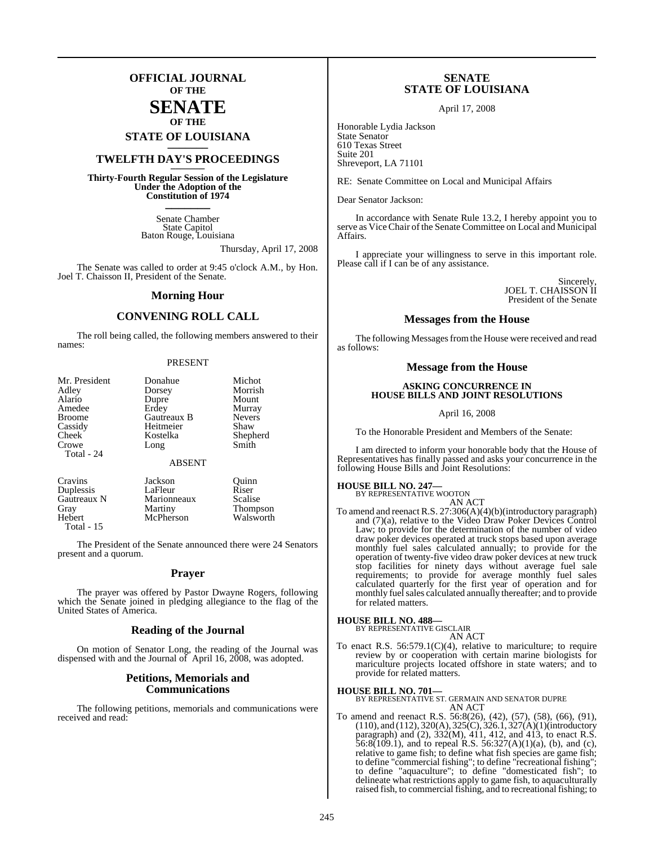## **OFFICIAL JOURNAL OF THE**

## **SENATE OF THE**

## **STATE OF LOUISIANA \_\_\_\_\_\_\_**

## **TWELFTH DAY'S PROCEEDINGS \_\_\_\_\_\_\_**

**Thirty-Fourth Regular Session of the Legislature Under the Adoption of the Constitution of 1974 \_\_\_\_\_\_\_**

> Senate Chamber State Capitol Baton Rouge, Louisiana

> > Thursday, April 17, 2008

The Senate was called to order at 9:45 o'clock A.M., by Hon. Joel T. Chaisson II, President of the Senate.

### **Morning Hour**

## **CONVENING ROLL CALL**

The roll being called, the following members answered to their names:

#### PRESENT

| Mr. President | Donahue       | Michot          |
|---------------|---------------|-----------------|
| Adley         | Dorsey        | Morrish         |
| Alario        | Dupre         | Mount           |
| Amedee        | Erdey         | Murray          |
| <b>Broome</b> | Gautreaux B   | <b>Nevers</b>   |
| Cassidy       | Heitmeier     | Shaw            |
| Cheek         | Kostelka      | Shepherd        |
| Crowe         | Long          | Smith           |
| Total - 24    |               |                 |
|               | <b>ABSENT</b> |                 |
| Cravins       | Jackson       | Quinn           |
| Duplessis     | LaFleur       | Riser           |
| Gautreaux N   | Marionneaux   | Scalise         |
| Gray          | Martiny       | <b>Thompson</b> |
| Hebert        | McPherson     | Walsworth       |

Total - 15

The President of the Senate announced there were 24 Senators present and a quorum.

### **Prayer**

The prayer was offered by Pastor Dwayne Rogers, following which the Senate joined in pledging allegiance to the flag of the United States of America.

### **Reading of the Journal**

On motion of Senator Long, the reading of the Journal was dispensed with and the Journal of April 16, 2008, was adopted.

## **Petitions, Memorials and Communications**

The following petitions, memorials and communications were received and read:

## **SENATE STATE OF LOUISIANA**

April 17, 2008

Honorable Lydia Jackson State Senator 610 Texas Street Suite 201 Shreveport, LA 71101

RE: Senate Committee on Local and Municipal Affairs

Dear Senator Jackson:

In accordance with Senate Rule 13.2, I hereby appoint you to serve as Vice Chair of the Senate Committee on Local and Municipal Affairs.

I appreciate your willingness to serve in this important role. Please call if I can be of any assistance.

> Sincerely, JOEL T. CHAISSON II President of the Senate

### **Messages from the House**

The following Messages from the House were received and read as follows:

## **Message from the House**

### **ASKING CONCURRENCE IN HOUSE BILLS AND JOINT RESOLUTIONS**

April 16, 2008

To the Honorable President and Members of the Senate:

I am directed to inform your honorable body that the House of Representatives has finally passed and asks your concurrence in the following House Bills and Joint Resolutions:

## **HOUSE BILL NO. 247—** BY REPRESENTATIVE WOOTON

AN ACT

To amend and reenact R.S. 27:306(A)(4)(b)(introductory paragraph) and (7)(a), relative to the Video Draw Poker Devices Control Law; to provide for the determination of the number of video draw poker devices operated at truck stops based upon average monthly fuel sales calculated annually; to provide for the operation of twenty-five video draw poker devices at new truck stop facilities for ninety days without average fuel sale requirements; to provide for average monthly fuel sales calculated quarterly for the first year of operation and for monthly fuel sales calculated annually thereafter; and to provide for related matters.

## **HOUSE BILL NO. 488—** BY REPRESENTATIVE GISCLAIR

provide for related matters.

AN ACT To enact R.S. 56:579.1(C)(4), relative to mariculture; to require review by or cooperation with certain marine biologists for mariculture projects located offshore in state waters; and to

**HOUSE BILL NO. 701—** BY REPRESENTATIVE ST. GERMAIN AND SENATOR DUPRE AN ACT

To amend and reenact R.S. 56:8(26), (42), (57), (58), (66), (91), (110), and (112), 320(A), 325(C), 326.1, 327(A)(1)(introductory paragraph) and (2), 332(M), 411, 412, and 413, to enact R.S. 56:8(109.1), and to repeal R.S. 56:327(A)(1)(a), (b), and (c), relative to game fish; to define what fish species are game fish; to define "commercial fishing"; to define "recreational fishing"; to define "aquaculture"; to define "domesticated fish"; to delineate what restrictions apply to game fish, to aquaculturally raised fish, to commercial fishing, and to recreational fishing; to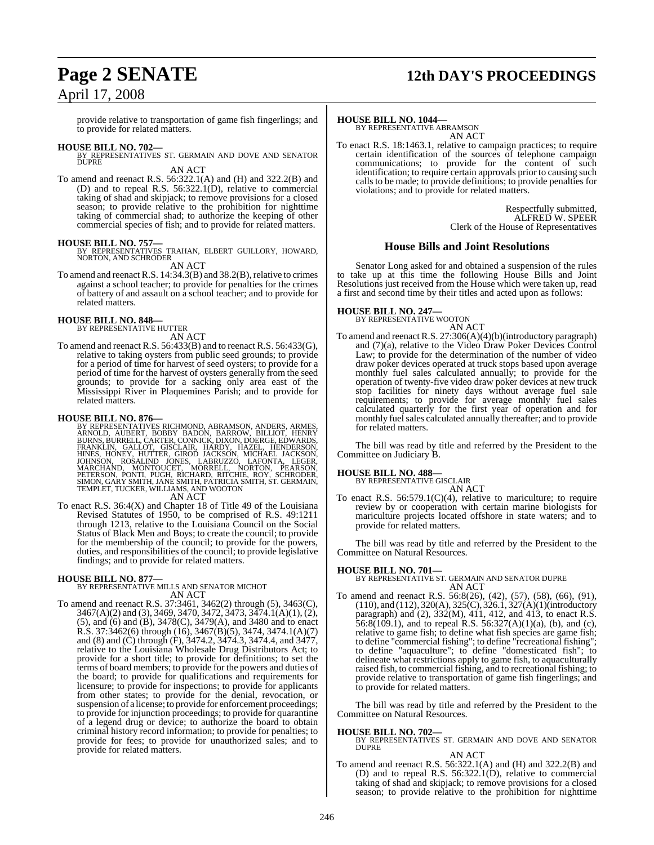## **Page 2 SENATE 12th DAY'S PROCEEDINGS**

## April 17, 2008

provide relative to transportation of game fish fingerlings; and to provide for related matters.

**HOUSE BILL NO. 702—** BY REPRESENTATIVES ST. GERMAIN AND DOVE AND SENATOR **DUPRE** 

### AN ACT

To amend and reenact R.S. 56:322.1(A) and (H) and 322.2(B) and (D) and to repeal R.S. 56:322.1(D), relative to commercial taking of shad and skipjack; to remove provisions for a closed season; to provide relative to the prohibition for nighttime taking of commercial shad; to authorize the keeping of other commercial species of fish; and to provide for related matters.

### **HOUSE BILL NO. 757—**

BY REPRESENTATIVES TRAHAN, ELBERT GUILLORY, HOWARD, NORTON, AND SCHRODER AN ACT

To amend and reenact R.S. 14:34.3(B) and 38.2(B), relative to crimes against a school teacher; to provide for penalties for the crimes of battery of and assault on a school teacher; and to provide for related matters.

## **HOUSE BILL NO. 848—** BY REPRESENTATIVE HUTTER

AN ACT

To amend and reenact R.S. 56:433(B) and to reenact R.S. 56:433(G), relative to taking oysters from public seed grounds; to provide for a period of time for harvest of seed oysters; to provide for a period of time for the harvest of oysters generally from the seed grounds; to provide for a sacking only area east of the Mississippi River in Plaquemines Parish; and to provide for related matters.

- **HOUSE BILL NO. 876—**<br>BY REPRESENTATIVES RICHMOND, ABRAMSON, ANDERS, ARMES, ARNOLD, AUBERT, BOBBY BADON, BARROW, BILLIOT, HENRY<br>BURNS, BURRELL, CARTER, CONNICK, DIXON, DOERGE, EDWARDS,<br>FRANKLIN, GALLOT, GISCLAIR, HARDY, HA AN ACT
- To enact R.S. 36:4(X) and Chapter 18 of Title 49 of the Louisiana Revised Statutes of 1950, to be comprised of R.S. 49:1211 through 1213, relative to the Louisiana Council on the Social Status of Black Men and Boys; to create the council; to provide for the membership of the council; to provide for the powers, duties, and responsibilities of the council; to provide legislative findings; and to provide for related matters.

## **HOUSE BILL NO. 877—** BY REPRESENTATIVE MILLS AND SENATOR MICHOT AN ACT

To amend and reenact R.S. 37:3461, 3462(2) through (5), 3463(C), 3467(A)(2) and (3), 3469, 3470, 3472, 3473, 3474.1(A)(1), (2), (5), and (6) and (B), 3478(C), 3479(A), and 3480 and to enact R.S. 37:3462(6) through (16), 3467(B)(5), 3474, 3474.1(A)(7) and (8) and (C) through (F), 3474.2, 3474.3, 3474.4, and 3477, relative to the Louisiana Wholesale Drug Distributors Act; to provide for a short title; to provide for definitions; to set the terms of board members; to provide for the powers and duties of the board; to provide for qualifications and requirements for licensure; to provide for inspections; to provide for applicants from other states; to provide for the denial, revocation, or suspension of a license; to provide for enforcement proceedings; to provide for injunction proceedings; to provide for quarantine of a legend drug or device; to authorize the board to obtain criminal history record information; to provide for penalties; to provide for fees; to provide for unauthorized sales; and to provide for related matters.

## **HOUSE BILL NO. 1044—**

BY REPRESENTATIVE ABRAMSON AN ACT

To enact R.S. 18:1463.1, relative to campaign practices; to require certain identification of the sources of telephone campaign communications; to provide for the content of such identification; to require certain approvals prior to causing such calls to be made; to provide definitions; to provide penalties for violations; and to provide for related matters.

> Respectfully submitted, ALFRED W. SPEER Clerk of the House of Representatives

### **House Bills and Joint Resolutions**

Senator Long asked for and obtained a suspension of the rules to take up at this time the following House Bills and Joint Resolutions just received from the House which were taken up, read a first and second time by their titles and acted upon as follows:

## **HOUSE BILL NO. 247—** BY REPRESENTATIVE WOOTON

AN ACT

To amend and reenact R.S. 27:306(A)(4)(b)(introductory paragraph) and (7)(a), relative to the Video Draw Poker Devices Control Law; to provide for the determination of the number of video draw poker devices operated at truck stops based upon average monthly fuel sales calculated annually; to provide for the operation of twenty-five video draw poker devices at new truck stop facilities for ninety days without average fuel sale requirements; to provide for average monthly fuel sales calculated quarterly for the first year of operation and for monthly fuel sales calculated annually thereafter; and to provide for related matters.

The bill was read by title and referred by the President to the Committee on Judiciary B.

### **HOUSE BILL NO. 488—**

BY REPRESENTATIVE GISCLAIR

AN ACT To enact R.S. 56:579.1(C)(4), relative to mariculture; to require review by or cooperation with certain marine biologists for mariculture projects located offshore in state waters; and to provide for related matters.

The bill was read by title and referred by the President to the Committee on Natural Resources.

## **HOUSE BILL NO. 701—**

BY REPRESENTATIVE ST. GERMAIN AND SENATOR DUPRE AN ACT

To amend and reenact R.S. 56:8(26), (42), (57), (58), (66), (91), (110), and (112), 320(A), 325(C), 326.1, 327(A)(1)(introductory paragraph) and (2), 332(M), 411, 412, and 413, to enact R.S.  $56.8(109.1)$ , and to repeal R.S.  $56.327(A)(1)(a)$ , (b), and (c), relative to game fish; to define what fish species are game fish; to define "commercial fishing"; to define "recreational fishing"; to define "aquaculture"; to define "domesticated fish"; to delineate what restrictions apply to game fish, to aquaculturally raised fish, to commercial fishing, and to recreational fishing; to provide relative to transportation of game fish fingerlings; and to provide for related matters.

The bill was read by title and referred by the President to the Committee on Natural Resources.

**HOUSE BILL NO. 702—** BY REPRESENTATIVES ST. GERMAIN AND DOVE AND SENATOR DUPRE

AN ACT To amend and reenact R.S. 56:322.1(A) and (H) and 322.2(B) and (D) and to repeal R.S. 56:322.1(D), relative to commercial taking of shad and skipjack; to remove provisions for a closed season; to provide relative to the prohibition for nighttime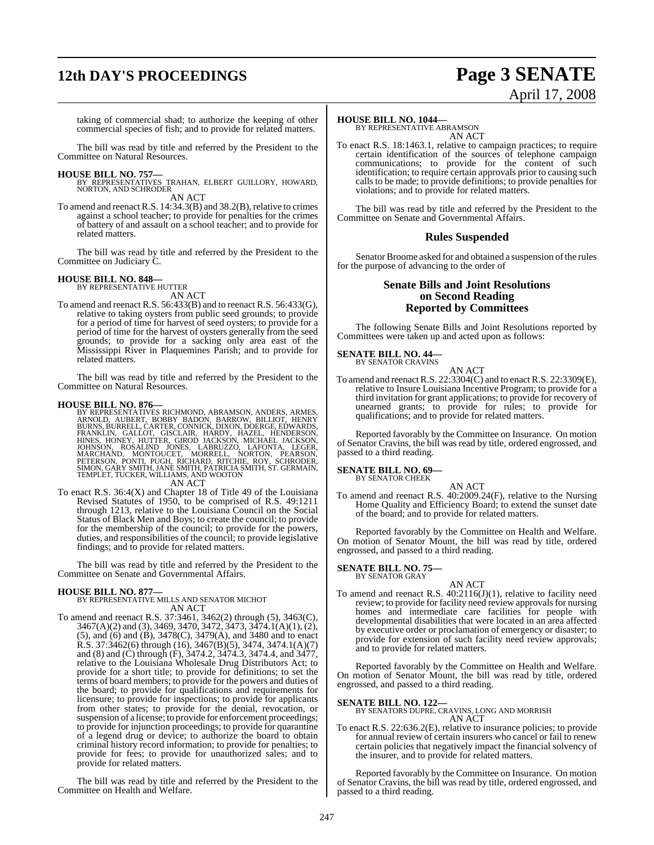## **12th DAY'S PROCEEDINGS Page 3 SENATE**

# April 17, 2008

taking of commercial shad; to authorize the keeping of other commercial species of fish; and to provide for related matters.

The bill was read by title and referred by the President to the Committee on Natural Resources.

**HOUSE BILL NO. 757—** BY REPRESENTATIVES TRAHAN, ELBERT GUILLORY, HOWARD, NORTON, AND SCHRODER AN ACT

To amend and reenact R.S.  $14:34.3(B)$  and  $38.2(B)$ , relative to crimes against a school teacher; to provide for penalties for the crimes of battery of and assault on a school teacher; and to provide for related matters.

The bill was read by title and referred by the President to the Committee on Judiciary C.

### **HOUSE BILL NO. 848—**

BY REPRESENTATIVE HUTTER AN ACT

To amend and reenact R.S. 56:433(B) and to reenact R.S. 56:433(G), relative to taking oysters from public seed grounds; to provide for a period of time for harvest of seed oysters; to provide for a period of time for the harvest of oysters generally from the seed grounds; to provide for a sacking only area east of the Mississippi River in Plaquemines Parish; and to provide for related matters.

The bill was read by title and referred by the President to the Committee on Natural Resources.

**HOUSE BILL NO. 876—**<br>BY REPRESENTATIVES RICHMOND, ABRAMSON, ANDERS, ARMES, ARNOLD, AUBERT, BOBBY BADON, BARROW, BILLIOT, HENRY<br>BURNS, BURRELL, CARTER, CONNICK, DIXON, DOERGE, EDWARDS, FRANKLIN, GALLOT, GISCLAIR, HARDY, HA AN ACT

To enact R.S. 36:4(X) and Chapter 18 of Title 49 of the Louisiana Revised Statutes of 1950, to be comprised of R.S. 49:1211 through 1213, relative to the Louisiana Council on the Social Status of Black Men and Boys; to create the council; to provide for the membership of the council; to provide for the powers, duties, and responsibilities of the council; to provide legislative findings; and to provide for related matters.

The bill was read by title and referred by the President to the Committee on Senate and Governmental Affairs.

### **HOUSE BILL NO. 877—**

BY REPRESENTATIVE MILLS AND SENATOR MICHOT AN ACT

To amend and reenact R.S. 37:3461, 3462(2) through (5), 3463(C), 3467(A)(2) and (3), 3469, 3470, 3472, 3473, 3474.1(A)(1), (2), (5), and (6) and (B), 3478(C), 3479(A), and 3480 and to enact R.S. 37:3462(6) through (16), 3467(B)(5), 3474, 3474.1(A)(7) and (8) and (C) through (F), 3474.2, 3474.3, 3474.4, and 3477, relative to the Louisiana Wholesale Drug Distributors Act; to provide for a short title; to provide for definitions; to set the terms of board members; to provide for the powers and duties of the board; to provide for qualifications and requirements for licensure; to provide for inspections; to provide for applicants from other states; to provide for the denial, revocation, or suspension of a license; to provide for enforcement proceedings; to provide for injunction proceedings; to provide for quarantine of a legend drug or device; to authorize the board to obtain criminal history record information; to provide for penalties; to provide for fees; to provide for unauthorized sales; and to provide for related matters.

The bill was read by title and referred by the President to the Committee on Health and Welfare.

### **HOUSE BILL NO. 1044—**

BY REPRESENTATIVE ABRAMSON AN ACT

To enact R.S. 18:1463.1, relative to campaign practices; to require certain identification of the sources of telephone campaign communications; to provide for the content of such identification; to require certain approvals prior to causing such calls to be made; to provide definitions; to provide penalties for violations; and to provide for related matters.

The bill was read by title and referred by the President to the Committee on Senate and Governmental Affairs.

### **Rules Suspended**

Senator Broome asked for and obtained a suspension of the rules for the purpose of advancing to the order of

## **Senate Bills and Joint Resolutions on Second Reading Reported by Committees**

The following Senate Bills and Joint Resolutions reported by Committees were taken up and acted upon as follows:

## **SENATE BILL NO. 44—** BY SENATOR CRAVINS

AN ACT

To amend and reenactR.S. 22:3304(C) and to enact R.S. 22:3309(E), relative to Insure Louisiana Incentive Program; to provide for a third invitation for grant applications; to provide for recovery of unearned grants; to provide for rules; to provide for qualifications; and to provide for related matters.

Reported favorably by the Committee on Insurance. On motion of Senator Cravins, the bill was read by title, ordered engrossed, and passed to a third reading.

#### **SENATE BILL NO. 69—** BY SENATOR CHEEK

AN ACT

To amend and reenact R.S. 40:2009.24(F), relative to the Nursing Home Quality and Efficiency Board; to extend the sunset date of the board; and to provide for related matters.

Reported favorably by the Committee on Health and Welfare. On motion of Senator Mount, the bill was read by title, ordered engrossed, and passed to a third reading.

#### **SENATE BILL NO. 75—** BY SENATOR GRAY

AN ACT To amend and reenact R.S. 40:2116(J)(1), relative to facility need review; to provide for facility need review approvals for nursing homes and intermediate care facilities for people with developmental disabilities that were located in an area affected by executive order or proclamation of emergency or disaster; to provide for extension of such facility need review approvals; and to provide for related matters.

Reported favorably by the Committee on Health and Welfare. On motion of Senator Mount, the bill was read by title, ordered engrossed, and passed to a third reading.

## **SENATE BILL NO. 122—** BY SENATORS DUPRE, CRAVINS, LONG AND MORRISH AN ACT

To enact R.S. 22:636.2(E), relative to insurance policies; to provide for annual review of certain insurers who cancel or fail to renew certain policies that negatively impact the financial solvency of the insurer, and to provide for related matters.

Reported favorably by the Committee on Insurance. On motion of Senator Cravins, the bill was read by title, ordered engrossed, and passed to a third reading.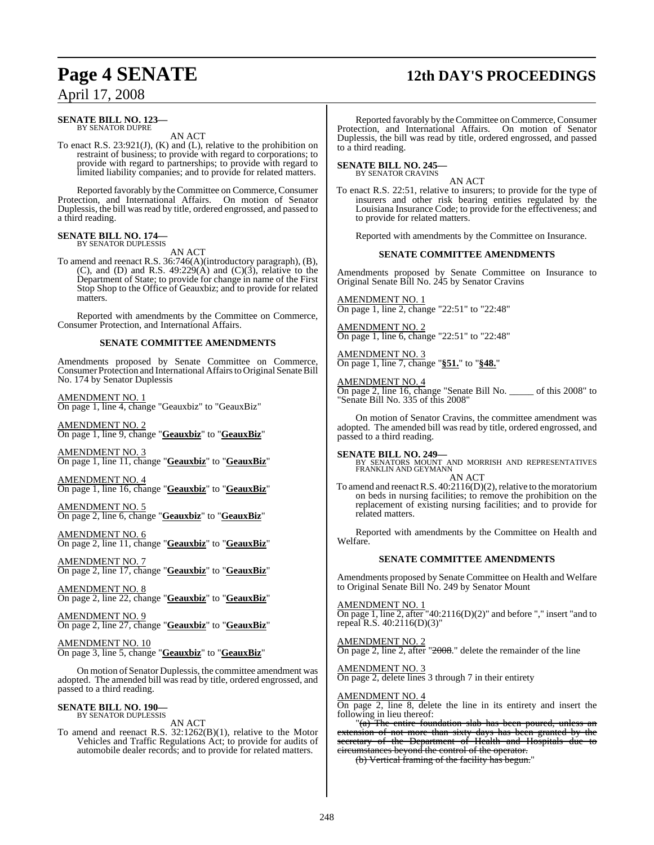## **Page 4 SENATE 12th DAY'S PROCEEDINGS**

## April 17, 2008

#### **SENATE BILL NO. 123—** BY SENATOR DUPRE

AN ACT

To enact R.S. 23:921(J), (K) and (L), relative to the prohibition on restraint of business; to provide with regard to corporations; to provide with regard to partnerships; to provide with regard to limited liability companies; and to provide for related matters.

Reported favorably by the Committee on Commerce, Consumer Protection, and International Affairs. On motion of Senator Duplessis, the bill was read by title, ordered engrossed, and passed to a third reading.

## **SENATE BILL NO. 174—** BY SENATOR DUPLESSIS

AN ACT

To amend and reenact R.S. 36:746(A)(introductory paragraph), (B), (C), and (D) and R.S. 49:229(A) and  $(C)(3)$ , relative to the Department of State; to provide for change in name of the First Stop Shop to the Office of Geauxbiz; and to provide for related matters.

Reported with amendments by the Committee on Commerce, Consumer Protection, and International Affairs.

### **SENATE COMMITTEE AMENDMENTS**

Amendments proposed by Senate Committee on Commerce, Consumer Protection and International Affairsto Original Senate Bill No. 174 by Senator Duplessis

AMENDMENT NO. 1 On page 1, line 4, change "Geauxbiz" to "GeauxBiz"

AMENDMENT NO. 2 On page 1, line 9, change "**Geauxbiz**" to "**GeauxBiz**"

AMENDMENT NO. 3 On page 1, line 11, change "**Geauxbiz**" to "**GeauxBiz**"

AMENDMENT NO. 4 On page 1, line 16, change "**Geauxbiz**" to "**GeauxBiz**"

AMENDMENT NO. 5 On page 2, line 6, change "**Geauxbiz**" to "**GeauxBiz**"

AMENDMENT NO. 6 On page 2, line 11, change "**Geauxbiz**" to "**GeauxBiz**"

AMENDMENT NO. 7 On page 2, line 17, change "**Geauxbiz**" to "**GeauxBiz**"

AMENDMENT NO. 8 On page 2, line 22, change "**Geauxbiz**" to "**GeauxBiz**"

AMENDMENT NO. 9 On page 2, line 27, change "**Geauxbiz**" to "**GeauxBiz**"

AMENDMENT NO. 10 On page 3, line 5, change "**Geauxbiz**" to "**GeauxBiz**"

On motion of Senator Duplessis, the committee amendment was adopted. The amended bill was read by title, ordered engrossed, and passed to a third reading.

#### **SENATE BILL NO. 190—** BY SENATOR DUPLESSIS

AN ACT

To amend and reenact R.S. 32:1262(B)(1), relative to the Motor Vehicles and Traffic Regulations Act; to provide for audits of automobile dealer records; and to provide for related matters.

Reported favorably by the Committee on Commerce, Consumer Protection, and International Affairs. On motion of Senator Duplessis, the bill was read by title, ordered engrossed, and passed to a third reading.

## **SENATE BILL NO. 245—** BY SENATOR CRAVINS

AN ACT

To enact R.S. 22:51, relative to insurers; to provide for the type of insurers and other risk bearing entities regulated by the Louisiana Insurance Code; to provide for the effectiveness; and to provide for related matters.

Reported with amendments by the Committee on Insurance.

### **SENATE COMMITTEE AMENDMENTS**

Amendments proposed by Senate Committee on Insurance to Original Senate Bill No. 245 by Senator Cravins

AMENDMENT NO. 1 On page 1, line 2, change "22:51" to "22:48"

AMENDMENT NO. 2 On page 1, line 6, change "22:51" to "22:48"

AMENDMENT NO. 3 On page 1, line 7, change "**§51.**" to "**§48.**"

AMENDMENT NO. 4 On page 2, line 16, change "Senate Bill No. \_\_\_\_\_ of this 2008" to "Senate Bill No. 335 of this 2008"

On motion of Senator Cravins, the committee amendment was adopted. The amended bill was read by title, ordered engrossed, and passed to a third reading.

**SENATE BILL NO. 249—** BY SENATORS MOUNT AND MORRISH AND REPRESENTATIVES FRANKLIN AND GEYMANN AN ACT

To amend and reenact R.S.  $40:2116(D)(2)$ , relative to the moratorium on beds in nursing facilities; to remove the prohibition on the replacement of existing nursing facilities; and to provide for related matters.

Reported with amendments by the Committee on Health and Welfare.

## **SENATE COMMITTEE AMENDMENTS**

Amendments proposed by Senate Committee on Health and Welfare to Original Senate Bill No. 249 by Senator Mount

AMENDMENT NO. 1

On page 1, line 2, after "40:2116(D)(2)" and before "," insert "and to repeal R.S. 40:2116(D)(3)"

AMENDMENT NO. 2 On page 2, line 2, after "2008." delete the remainder of the line

AMENDMENT NO. 3

On page 2, delete lines 3 through 7 in their entirety

### AMENDMENT NO. 4

On page 2, line 8, delete the line in its entirety and insert the following in lieu thereof:

"(a) The entire foundation slab has been poured, unless an extension of not more than sixty days has been granted by the secretary of the Department of Health and Hospitals due to circumstances beyond the control of the operator.

(b) Vertical framing of the facility has begun."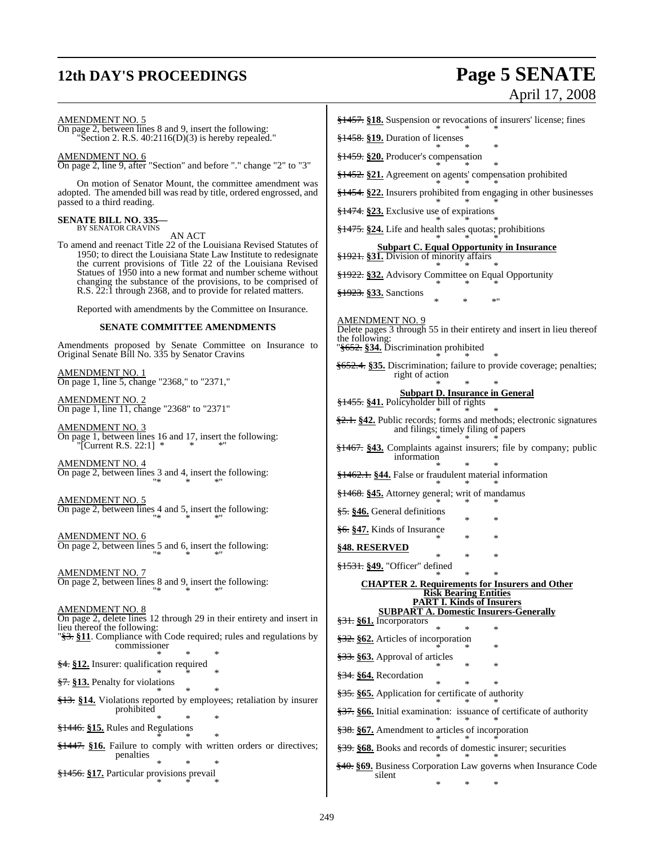## **12th DAY'S PROCEEDINGS Page 5 SENATE**

AMENDMENT NO. 5

# April 17, 2008

On page 2, between lines 8 and 9, insert the following: "Section 2. R.S. 40:2116(D)(3) is hereby repealed." AMENDMENT NO. 6 On page 2, line 9, after "Section" and before "." change "2" to "3" On motion of Senator Mount, the committee amendment was adopted. The amended bill was read by title, ordered engrossed, and passed to a third reading. **SENATE BILL NO. 335—** BY SENATOR CRAVINS

AN ACT

To amend and reenact Title 22 of the Louisiana Revised Statutes of 1950; to direct the Louisiana State Law Institute to redesignate the current provisions of Title 22 of the Louisiana Revised Statues of 1950 into a new format and number scheme without changing the substance of the provisions, to be comprised of R.S. 22:1 through 2368, and to provide for related matters.

Reported with amendments by the Committee on Insurance.

#### **SENATE COMMITTEE AMENDMENTS**

Amendments proposed by Senate Committee on Insurance to Original Senate Bill No. 335 by Senator Cravins

AMENDMENT NO. 1 On page 1, line 5, change "2368," to "2371,"

AMENDMENT NO. 2 On page 1, line 11, change "2368" to "2371"

AMENDMENT NO. 3 On page 1, between lines 16 and 17, insert the following:  $\Gamma$ [Current R.S. 22:1]

AMENDMENT NO. 4 On page 2, between lines 3 and 4, insert the following: "\* \* \*"

AMENDMENT NO. 5 On page 2, between lines 4 and 5, insert the following: "\* \* \*"

AMENDMENT NO. 6 On page 2, between lines 5 and 6, insert the following: "\* \* \*"

AMENDMENT NO. 7 On page 2, between lines 8 and 9, insert the following: "\* \* \*"

### AMENDMENT NO. 8

On page 2, delete lines 12 through 29 in their entirety and insert in lieu thereof the following: "§3. **§11**. Compliance with Code required; rules and regulations by commissioner \* \* \* §4. **§12.** Insurer: qualification required \* \* \* §7. **§13.** Penalty for violations \* \* \* §13. **§14.** Violations reported by employees; retaliation by insurer prohibited \* \* \* §1446. **§15.** Rules and Regulations \* \* \*

§1447. **§16.** Failure to comply with written orders or directives; penalties \* \* \*

§1456. **§17.** Particular provisions prevail \* \* \* §1457. **§18.** Suspension or revocations of insurers' license; fines

\* \* \* §1458. **§19.** Duration of licenses

\* \* \* §1459. **§20.** Producer's compensation

\* \* \*

§1452. **§21.** Agreement on agents' compensation prohibited \* \* \*

§1454. **§22.** Insurers prohibited from engaging in other businesses

\* \* \* §1474. **§23.** Exclusive use of expirations

\* \* \* §1475. **§24.** Life and health sales quotas; prohibitions

\* \* \* **Subpart C. Equal Opportunity in Insurance** §1921. **§31.** Division of minority affairs \* \* \*

§1922. **§32.** Advisory Committee on Equal Opportunity \* \* \*

§1923. **§33.** Sanctions \* \* \*"

AMENDMENT NO. 9

Delete pages 3 through 55 in their entirety and insert in lieu thereof the following:

"§652. **§34.** Discrimination prohibited \* \* \*

§652.4. **§35.** Discrimination; failure to provide coverage; penalties; right of action

#### \* \* \* **Subpart D. Insurance in General** §1455. **§41.** Policyholder bill of rights

\* \* \* §2.1. **§42.** Public records; forms and methods; electronic signatures and filings; timely filing of papers \* \* \*

§1467. **§43.** Complaints against insurers; file by company; public information

\* \* \* §1462.1. **§44.** False or fraudulent material information

\* \* \* §1468. **§45.** Attorney general; writ of mandamus

\* \* \* §5. **§46.** General definitions

\* \* \* §6. **§47.** Kinds of Insurance \* \* \*

**§48. RESERVED**

\* \* \* §1531. **§49.** "Officer" defined

#### \* \* \* **CHAPTER 2. Requirements for Insurers and Other Risk Bearing Entities PART I. Kinds of Insurers**

### **SUBPART A. Domestic Insurers-Generally**

- \* \* \*
- §32. **§62.** Articles of incorporation \* \* \*
- §33. **§63.** Approval of articles \* \* \*
- §34. **§64.** Recordation

§31. **§61.** Incorporators

- \* \* \* §35. **§65.** Application for certificate of authority
- \* \* \* §37. **§66.** Initial examination: issuance of certificate of authority
- \* \* \* §38. **§67.** Amendment to articles of incorporation
- \* \* \* §39. **§68.** Books and records of domestic insurer; securities
- \* \* \* §40. **§69.** Business Corporation Law governs when Insurance Code silent \* \* \*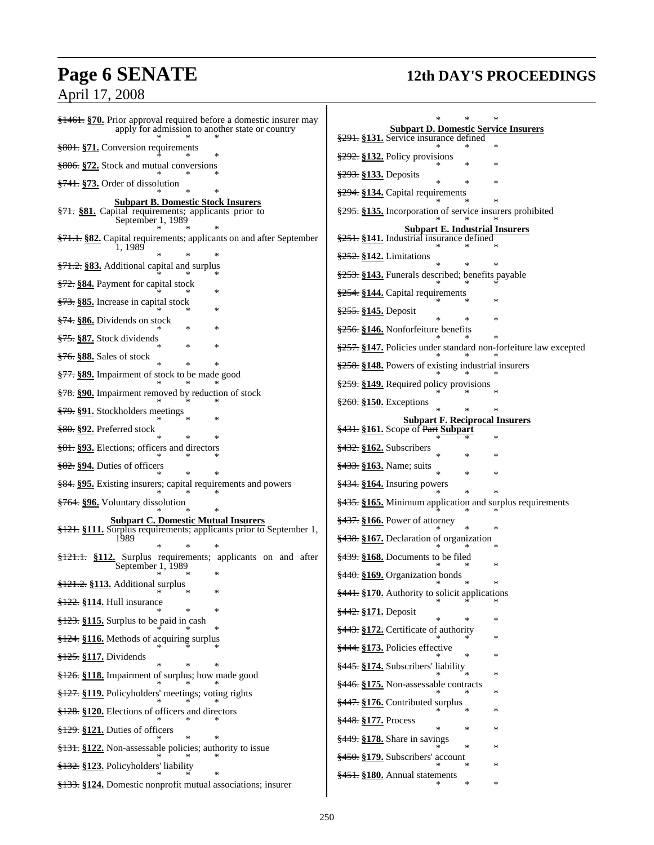## **Page 6 SENATE 12th DAY'S PROCEEDINGS** April 17, 2008

| $\frac{12461}{120}$ Prior approval required before a domestic insurer may                                                       |                                                                                                |
|---------------------------------------------------------------------------------------------------------------------------------|------------------------------------------------------------------------------------------------|
| apply for admission to another state or country                                                                                 | <b>Subpart D. Domestic Service Insurers</b><br>§291. §131. Service insurance defined<br>$\ast$ |
| §801. §71. Conversion requirements                                                                                              | $\frac{292}{22}$ §132. Policy provisions<br>∗                                                  |
| §806. §72. Stock and mutual conversions                                                                                         | \$293. §133. Deposits<br>$\ast$                                                                |
| §741. §73. Order of dissolution                                                                                                 | $\ast$<br>§294. §134. Capital requirements                                                     |
| <b>Subpart B. Domestic Stock Insurers</b><br>§71. §81. Capital requirements; applicants prior to<br>September 1, 1989           | §295. §135. Incorporation of service insurers prohibited                                       |
| §71.1. §82. Capital requirements; applicants on and after September                                                             | <b>Subpart E. Industrial Insurers</b><br>§251. §141. Industrial insurance defined              |
| 1. 1989                                                                                                                         | \$252. §142. Limitations                                                                       |
| §71.2. §83. Additional capital and surplus                                                                                      | §253. §143. Funerals described; benefits payable                                               |
| §72. §84. Payment for capital stock<br>×                                                                                        | §254. §144. Capital requirements<br>∗                                                          |
| §73. §85. Increase in capital stock                                                                                             | §255. §145. Deposit<br>∗                                                                       |
| $\frac{1274}{374}$ . $\frac{866}{201}$ Dividends on stock<br>×                                                                  | §256. §146. Nonforfeiture benefits                                                             |
| <del>§75.</del> §87. Stock dividends<br>*<br>*                                                                                  | §257. §147. Policies under standard non-forfeiture law excepted                                |
| §76. §88. Sales of stock<br>*                                                                                                   | §258. §148. Powers of existing industrial insurers                                             |
| <del>§77.</del> §89. Impairment of stock to be made good                                                                        | §259. §149. Required policy provisions                                                         |
| §78. §90. Impairment removed by reduction of stock                                                                              | $\frac{260}{260}$ . §150. Exceptions                                                           |
| §79. §91. Stockholders meetings                                                                                                 | <b>Subpart F. Reciprocal Insurers</b>                                                          |
| §80. §92. Preferred stock                                                                                                       | §431. §161. Scope of Part Subpart<br>$\ast$                                                    |
| §81. §93. Elections; officers and directors                                                                                     | $\frac{$432}{8162}$ . Subscribers<br>∗                                                         |
| $\frac{882}{894}$ . Duties of officers                                                                                          | <del>§433.</del> §163. Name; suits<br>*<br>$\ast$                                              |
| §84. §95. Existing insurers; capital requirements and powers                                                                    | $\frac{$434}{164}$ . Insuring powers<br>*                                                      |
| <del>§764.</del> §96. Voluntary dissolution                                                                                     | $\frac{2435}{3435}$ . \$165. Minimum application and surplus requirements                      |
| <b>Subpart C. Domestic Mutual Insurers</b><br>$\frac{$121}{12}$ . \$111. Surplus requirements; applicants prior to September 1, | $\frac{$437}{8166}$ . Power of attorney<br>∗                                                   |
| 1989                                                                                                                            | §438. §167. Declaration of organization<br>∗                                                   |
| §121.1. §112. Surplus requirements; applicants on and after<br>September 1, 1989                                                | $\frac{$439}{8439}$ . \$168. Documents to be filed<br>∗                                        |
| ∗<br>§121.2. §113. Additional surplus                                                                                           | §440. §169. Organization bonds                                                                 |
| *<br>$$122. $114.$ Hull insurance                                                                                               | §441. §170. Authority to solicit applications                                                  |
| *<br>§123. §115. Surplus to be paid in cash                                                                                     | §442. §171. Deposit<br>∗                                                                       |
| §124. §116. Methods of acquiring surplus                                                                                        | §443. §172. Certificate of authority<br>∗                                                      |
| §125. §117. Dividends                                                                                                           | §444. §173. Policies effective<br>∗                                                            |
| §126. §118. Impairment of surplus; how made good                                                                                | §445. §174. Subscribers' liability<br>∗                                                        |
| §127. §119. Policyholders' meetings; voting rights                                                                              | §446. §175. Non-assessable contracts<br>∗                                                      |
| $\frac{128}{128}$ . §120. Elections of officers and directors                                                                   | §447. §176. Contributed surplus<br>*<br>∗                                                      |
| §129. §121. Duties of officers                                                                                                  | §448. §177. Process<br>*<br>∗                                                                  |
| §131. §122. Non-assessable policies; authority to issue                                                                         | §449. §178. Share in savings<br>*<br>∗                                                         |
| §132. §123. Policyholders' liability                                                                                            | §450. §179. Subscribers' account<br>∗                                                          |
| §133. §124. Domestic nonprofit mutual associations; insurer                                                                     | §451. §180. Annual statements<br>$\ast$<br>$\ast$                                              |
|                                                                                                                                 |                                                                                                |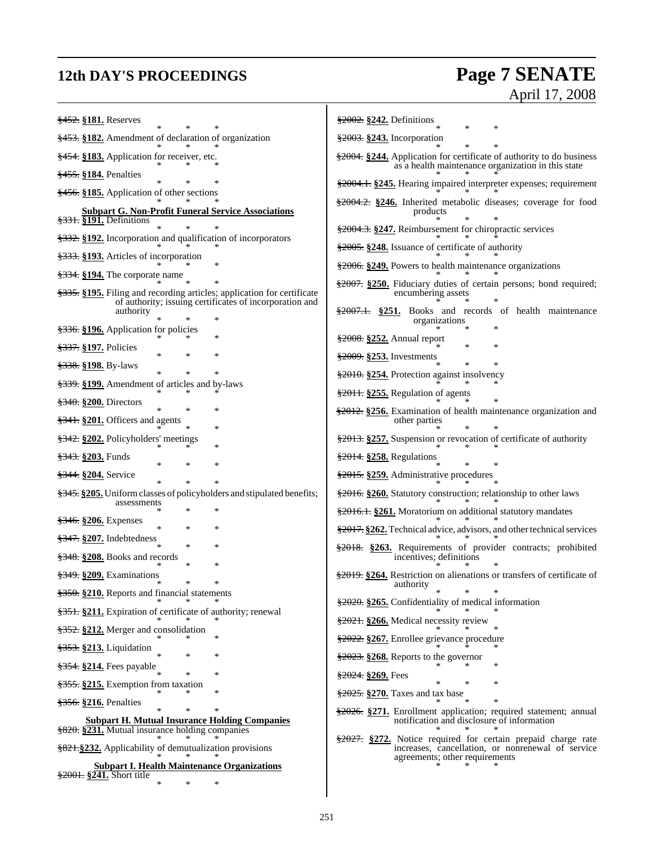## **12th DAY'S PROCEEDINGS Page 7 SENATE** April 17, 2008

| \$452. §181. Reserves                                                                                                               | §2002. §242. Definitions                                                                                                    |
|-------------------------------------------------------------------------------------------------------------------------------------|-----------------------------------------------------------------------------------------------------------------------------|
| §453. §182. Amendment of declaration of organization                                                                                | $\frac{2003}{2003}$ \$243. Incorporation                                                                                    |
| §454. §183. Application for receiver, etc.                                                                                          | \$2004. §244. Application for certificate of authority to do business<br>as a health maintenance organization in this state |
| §455. §184. Penalties                                                                                                               |                                                                                                                             |
| §456. §185. Application of other sections                                                                                           | \$2004.1. \$245. Hearing impaired interpreter expenses; requirement                                                         |
| <b>Subpart G. Non-Profit Funeral Service Associations</b>                                                                           | §2004.2. §246. Inherited metabolic diseases; coverage for food<br>products                                                  |
| $\frac{2331}{2331}$ . Definitions                                                                                                   | §2004.3. §247. Reimbursement for chiropractic services                                                                      |
| §332. §192. Incorporation and qualification of incorporators<br>§333. §193. Articles of incorporation                               | \$2005. §248. Issuance of certificate of authority                                                                          |
|                                                                                                                                     | \$2006. \$249. Powers to health maintenance organizations                                                                   |
| $\frac{2334}{2334}$ . S194. The corporate name                                                                                      | \$2007. \$250. Fiduciary duties of certain persons; bond required;                                                          |
| \$335. \$195. Filing and recording articles; application for certificate<br>of authority; issuing certificates of incorporation and | encumbering assets                                                                                                          |
| authority<br>∗                                                                                                                      | \$2007.1. \$251. Books and records of health maintenance<br>organizations                                                   |
| \$336. §196. Application for policies<br>∗                                                                                          | $\frac{2008}{2008}$ \$252. Annual report                                                                                    |
| <del>§337.</del> §197. Policies<br>∗                                                                                                | $\ast$<br>$\frac{$2009}{2}$ \$253. Investments                                                                              |
| <del>§338.</del> §198. By-laws<br>$\ast$<br>∗                                                                                       | §2010. §254. Protection against insolvency                                                                                  |
| \$339. \$199. Amendment of articles and by-laws                                                                                     | $\frac{$2011}{20011}$ . $\frac{$255}{20011}$ . Regulation of agents                                                         |
| $\frac{240}{3240}$ . $\frac{200}{3200}$ . Directors<br>∗<br>∗                                                                       | \$2012. \$256. Examination of health maintenance organization and                                                           |
| §341. §201. Officers and agents<br>∗                                                                                                | other parties                                                                                                               |
| §342. §202. Policyholders' meetings<br>*                                                                                            | \$2013. \$257. Suspension or revocation of certificate of authority                                                         |
| <del>§343.</del> §203. Funds<br>$\ast$<br>∗                                                                                         | §2014. §258. Regulations                                                                                                    |
| §344. §204. Service<br>$\ast$<br>∗                                                                                                  | §2015. §259. Administrative procedures                                                                                      |
| §345. §205. Uniform classes of policyholders and stipulated benefits;<br>assessments                                                | §2016. §260. Statutory construction; relationship to other laws                                                             |
| ∗<br>*<br>$\frac{2346}{200}$ . Expenses                                                                                             | §2016.1. §261. Moratorium on additional statutory mandates                                                                  |
| $\ast$<br>*<br>∗<br>$\frac{207}{247}$ \$207. Indebtedness                                                                           | \$2017. \$262. Technical advice, advisors, and other technical services                                                     |
| $\ast$<br>∗<br>$\frac{248}{3348}$ . $208$ . Books and records                                                                       | \$2018. §263. Requirements of provider contracts; prohibited<br>incentives; definitions                                     |
| *<br>∗<br>$\frac{$349}{1000}$ . Examinations                                                                                        | \$2019. \$264. Restriction on alienations or transfers of certificate of                                                    |
| ∗<br>∗<br>\$350. §210. Reports and financial statements                                                                             | authority                                                                                                                   |
| §351. §211. Expiration of certificate of authority; renewal                                                                         | \$2020. \$265. Confidentiality of medical information                                                                       |
| §352. §212. Merger and consolidation                                                                                                | §2021. §266. Medical necessity review                                                                                       |
| ∗<br>§353. §213. Liquidation                                                                                                        | \$2022. \$267. Enrollee grievance procedure                                                                                 |
| *<br>\$354. §214. Fees payable                                                                                                      | $\frac{2023}{2023}$ . $268$ . Reports to the governor                                                                       |
| *<br>\$355. \$215. Exemption from taxation                                                                                          | $\frac{2024}{2024}$ \$269. Fees<br>∗                                                                                        |
| ∗                                                                                                                                   | \$2025. \$270. Taxes and tax base                                                                                           |
| $\frac{2356}{2216}$ . Penalties<br>*<br>$\ast$                                                                                      | \$2026. \$271. Enrollment application; required statement; annual                                                           |
| <b>Subpart H. Mutual Insurance Holding Companies</b><br>§820. §231. Mutual insurance holding companies                              | notification and disclosure of information                                                                                  |
| §821.§232. Applicability of demutualization provisions                                                                              | §2027. §272. Notice required for certain prepaid charge rate<br>increases, cancellation, or nonrenewal of service           |
| <b>Subpart I. Health Maintenance Organizations</b><br>\$2001. §241. Short title                                                     | agreements; other requirements                                                                                              |
| $\ast$                                                                                                                              |                                                                                                                             |
|                                                                                                                                     |                                                                                                                             |

Ŧ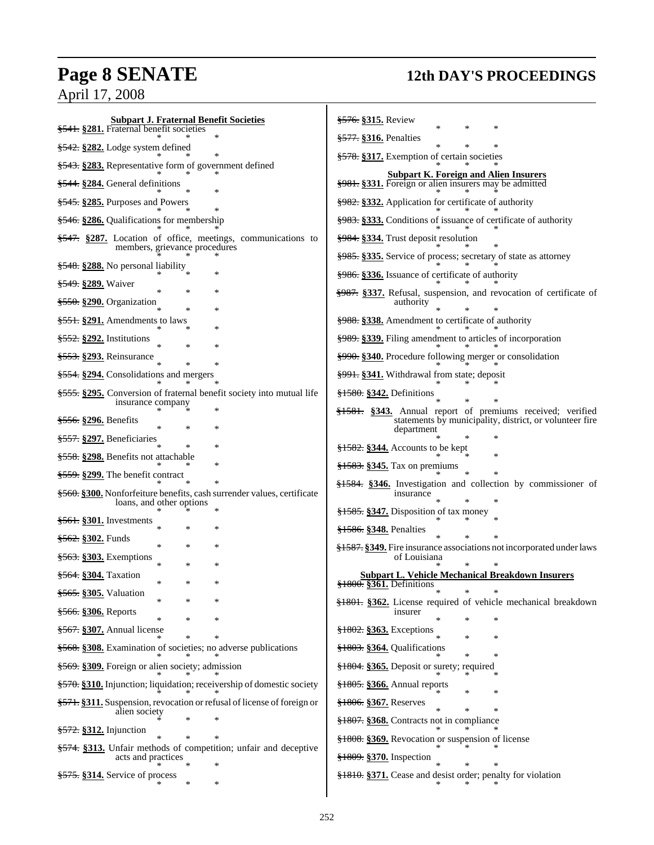## **Page 8 SENATE 12th DAY'S PROCEEDINGS**

April 17, 2008

| <b>Subpart J. Fraternal Benefit Societies</b><br><del>§541.</del> §281. Fraternal benefit societies           | <del>§576.</del> §315. Review<br>∗                                                                                   |
|---------------------------------------------------------------------------------------------------------------|----------------------------------------------------------------------------------------------------------------------|
| §542. §282. Lodge system defined                                                                              | \$577. §316. Penalties<br>$\ast$                                                                                     |
| §543. §283. Representative form of government defined                                                         | §578. §317. Exemption of certain societies                                                                           |
| §544. §284. General definitions                                                                               | <b>Subpart K. Foreign and Alien Insurers</b><br>§981. §331. Foreign or alien insurers may be admitted                |
| §545. §285. Purposes and Powers                                                                               | §982. §332. Application for certificate of authority                                                                 |
| \$546. \$286. Qualifications for membership                                                                   | \$983. \$333. Conditions of issuance of certificate of authority                                                     |
| \$547. \$287. Location of office, meetings, communications to                                                 | <del>§984.</del> §334. Trust deposit resolution                                                                      |
| members, grievance procedures                                                                                 | §985. §335. Service of process; secretary of state as attorney                                                       |
| <del>§548.</del> §288. No personal liability                                                                  | §986. §336. Issuance of certificate of authority                                                                     |
| <del>§549.</del> §289. Waiver                                                                                 | <del>§987.</del> §337. Refusal, suspension, and revocation of certificate of                                         |
| §550. §290. Organization                                                                                      | authority                                                                                                            |
| <del>§551.</del> §291. Amendments to laws                                                                     | \$988. \$338. Amendment to certificate of authority                                                                  |
| §552. §292. Institutions                                                                                      | §989. §339. Filing amendment to articles of incorporation                                                            |
| <del>§553.</del> §293. Reinsurance<br>$\ast$                                                                  | \$990. \$340. Procedure following merger or consolidation                                                            |
| <del>§554.</del> §294. Consolidations and mergers                                                             | §991. §341. Withdrawal from state; deposit                                                                           |
| \$555. \$295. Conversion of fraternal benefit society into mutual life<br>insurance company                   | $\frac{$1580}{1000}$ . $\frac{$342}{1000}$ . Definitions                                                             |
| §556. §296. Benefits                                                                                          | §1581. §343. Annual report of premiums received; verified<br>statements by municipality, district, or volunteer fire |
| §557. §297. Beneficiaries                                                                                     | department                                                                                                           |
| <del>§558.</del> §298. Benefits not attachable                                                                | $\frac{1582}{1582}$ \$344. Accounts to be kept                                                                       |
|                                                                                                               | <del>§1583.</del> §345. Tax on premiums                                                                              |
| §559. §299. The benefit contract                                                                              | $\frac{$1584}{1000}$ . Investigation and collection by commissioner of                                               |
| <del>§560.</del> §300. Nonforfeiture benefits, cash surrender values, certificate<br>loans, and other options | insurance                                                                                                            |
| <del>§561.</del> §301. Investments<br>*                                                                       | §1585. §347. Disposition of tax money                                                                                |
| <del>§562.</del> §302. Funds                                                                                  | §1586. §348. Penalties                                                                                               |
| $\ast$<br>§563. §303. Exemptions                                                                              | <del>§1587.</del> §349. Fire insurance associations not incorporated under laws<br>of Louisiana                      |
| *<br>$\ast$<br><del>§564.</del> §304. Taxation                                                                | <b>Subpart L. Vehicle Mechanical Breakdown Insurers</b>                                                              |
| *<br><del>§565.</del> §305. Valuation                                                                         | $\frac{$1800}{1000}$ . §361. Definitions<br>$\ast$<br>*<br>$\ast$                                                    |
| <del>§566.</del> §306. Reports                                                                                | \$1801. §362. License required of vehicle mechanical breakdown<br>insurer                                            |
| ∗                                                                                                             | $\ast$                                                                                                               |
| <del>§567.</del> §307. Annual license                                                                         | $\frac{$1802}{,}$ \$263. Exceptions<br>∗                                                                             |
| \$568. §308. Examination of societies; no adverse publications                                                | §1803. §364. Qualifications<br>∗                                                                                     |
| \$569. §309. Foreign or alien society; admission                                                              | §1804. §365. Deposit or surety; required                                                                             |
| §570. §310. Injunction; liquidation; receivership of domestic society                                         | $\frac{$1805}{18005}$ \$366. Annual reports<br>∗                                                                     |
| §571. §311. Suspension, revocation or refusal of license of foreign or<br>alien society                       | §1806. §367. Reserves<br>$\ast$                                                                                      |
| <del>§572.</del> §312. Injunction                                                                             | $\frac{$1807}{1000}$ . \$368. Contracts not in compliance                                                            |
| \$574. \$313. Unfair methods of competition; unfair and deceptive                                             | $\frac{1808}{1808}$ . \$369. Revocation or suspension of license                                                     |
| acts and practices                                                                                            | §1809. §370. Inspection                                                                                              |
| §575. §314. Service of process<br>∗                                                                           | §1810. §371. Cease and desist order; penalty for violation                                                           |
|                                                                                                               |                                                                                                                      |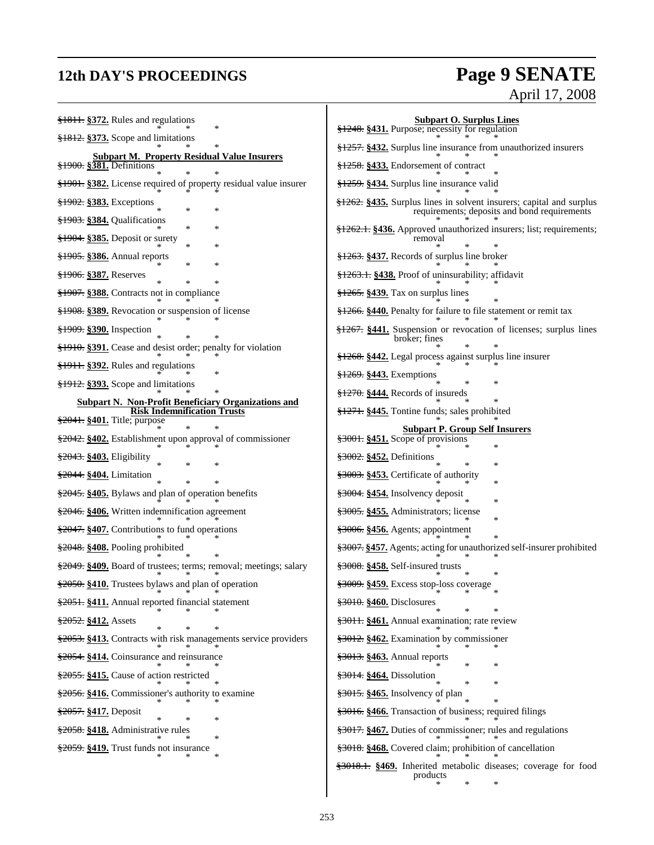## **12th DAY'S PROCEEDINGS Page 9 SENATE** April 17, 2008

| §1811. §372. Rules and regulations                                                                                                                                                                                                                                                                        | <b>Subpart O. Surplus Lines</b>                                                                                     |
|-----------------------------------------------------------------------------------------------------------------------------------------------------------------------------------------------------------------------------------------------------------------------------------------------------------|---------------------------------------------------------------------------------------------------------------------|
| $\frac{$1812}{91812}$ . $\frac{$373}{91812}$ . Scope and limitations                                                                                                                                                                                                                                      | §1248. §431. Purpose; necessity for regulation                                                                      |
| <b>Subpart M. Property Residual Value Insurers</b>                                                                                                                                                                                                                                                        | §1257. §432. Surplus line insurance from unauthorized insurers                                                      |
| \$1900. \$381. Definitions                                                                                                                                                                                                                                                                                | §1258. §433. Endorsement of contract                                                                                |
| §1901. §382. License required of property residual value insurer                                                                                                                                                                                                                                          | §1259. §434. Surplus line insurance valid                                                                           |
| §1902. §383. Exceptions<br>*<br>*                                                                                                                                                                                                                                                                         | §1262. §435. Surplus lines in solvent insurers; capital and surplus<br>requirements; deposits and bond requirements |
| §1903. §384. Qualifications<br>*                                                                                                                                                                                                                                                                          | <del>§1262.1.</del> §436. Approved unauthorized insurers; list; requirements;                                       |
| §1904. §385. Deposit or surety<br>*<br>*                                                                                                                                                                                                                                                                  |                                                                                                                     |
| §1905. §386. Annual reports<br>*<br>*                                                                                                                                                                                                                                                                     | $\frac{$1263}{1263}$ . $\frac{$437}{1263}$ . Records of surplus line broker                                         |
| §1906. §387. Reserves                                                                                                                                                                                                                                                                                     | §1263.1. §438. Proof of uninsurability; affidavit                                                                   |
| §1907. §388. Contracts not in compliance                                                                                                                                                                                                                                                                  | $\frac{$1265}{,}$ \$439. Tax on surplus lines                                                                       |
| §1908. §389. Revocation or suspension of license                                                                                                                                                                                                                                                          | \$1266. \$440. Penalty for failure to file statement or remit tax                                                   |
| §1909. §390. Inspection                                                                                                                                                                                                                                                                                   | §1267. §441. Suspension or revocation of licenses; surplus lines<br>broker; fines                                   |
| \$1910. §391. Cease and desist order; penalty for violation                                                                                                                                                                                                                                               | §1268. §442. Legal process against surplus line insurer                                                             |
| $\frac{1}{2}$ + $\frac{1}{2}$ + $\frac{1}{2}$ + $\frac{1}{2}$ + $\frac{1}{2}$ + $\frac{1}{2}$ + $\frac{1}{2}$ + $\frac{1}{2}$ + $\frac{1}{2}$ + $\frac{1}{2}$ + $\frac{1}{2}$ + $\frac{1}{2}$ + $\frac{1}{2}$ + $\frac{1}{2}$ + $\frac{1}{2}$ + $\frac{1}{2}$ + $\frac{1}{2}$ + $\frac{1}{2}$ + $\frac{1$ | §1269. §443. Exemptions                                                                                             |
| \$1912. §393. Scope and limitations                                                                                                                                                                                                                                                                       | $\frac{1270}{1270}$ . §444. Records of insureds                                                                     |
| <b>Subpart N. Non-Profit Beneficiary Organizations and</b><br><b>Risk Indemnification Trusts</b>                                                                                                                                                                                                          | §1271. §445. Tontine funds; sales prohibited                                                                        |
| \$2041. \$401. Title; purpose<br>*                                                                                                                                                                                                                                                                        |                                                                                                                     |
| \$2042. \$402. Establishment upon approval of commissioner                                                                                                                                                                                                                                                | <b>Subpart P. Group Self Insurers</b><br>$\frac{$3001}{32001}$ . Scope of provisions<br>∗                           |
| §2043. §403. Eligibility<br>*                                                                                                                                                                                                                                                                             | <del>§3002.</del> §452. Definitions<br>∗                                                                            |
| §2044. §404. Limitation                                                                                                                                                                                                                                                                                   | §3003. §453. Certificate of authority                                                                               |
| \$2045. §405. Bylaws and plan of operation benefits                                                                                                                                                                                                                                                       | ∗<br>§3004. §454. Insolvency deposit                                                                                |
| §2046. §406. Written indemnification agreement                                                                                                                                                                                                                                                            | ∗<br><del>§3005.</del> §455. Administrators; license                                                                |
| \$2047. §407. Contributions to fund operations                                                                                                                                                                                                                                                            | ∗<br>§3006. §456. Agents; appointment                                                                               |
| §2048. §408. Pooling prohibited                                                                                                                                                                                                                                                                           | §3007. §457. Agents; acting for unauthorized self-insurer prohibited                                                |
| \$2049. §409. Board of trustees; terms; removal; meetings; salary                                                                                                                                                                                                                                         | §3008. §458. Self-insured trusts                                                                                    |
| $\frac{$2050}{4}$ . $\frac{$410}{4}$ . Trustees bylaws and plan of operation                                                                                                                                                                                                                              | $\frac{$3009}{1000}$ . \$459. Excess stop-loss coverage                                                             |
| §2051. §411. Annual reported financial statement                                                                                                                                                                                                                                                          | \$3010. \$460. Disclosures                                                                                          |
| §2052. §412. Assets                                                                                                                                                                                                                                                                                       | §3011. §461. Annual examination; rate review                                                                        |
| §2053. §413. Contracts with risk managements service providers                                                                                                                                                                                                                                            | §3012. §462. Examination by commissioner                                                                            |
| §2054. §414. Coinsurance and reinsurance                                                                                                                                                                                                                                                                  | §3013. §463. Annual reports                                                                                         |
| §2055. §415. Cause of action restricted                                                                                                                                                                                                                                                                   | §3014. §464. Dissolution                                                                                            |
| §2056. §416. Commissioner's authority to examine                                                                                                                                                                                                                                                          | §3015. §465. Insolvency of plan                                                                                     |
| §2057. §417. Deposit                                                                                                                                                                                                                                                                                      | §3016. §466. Transaction of business; required filings                                                              |
| §2058. §418. Administrative rules                                                                                                                                                                                                                                                                         | §3017. §467. Duties of commissioner; rules and regulations                                                          |
| §2059. §419. Trust funds not insurance                                                                                                                                                                                                                                                                    | §3018. §468. Covered claim; prohibition of cancellation                                                             |
|                                                                                                                                                                                                                                                                                                           | §3018.1. §469. Inherited metabolic diseases; coverage for food                                                      |
|                                                                                                                                                                                                                                                                                                           | products<br>∗                                                                                                       |
|                                                                                                                                                                                                                                                                                                           |                                                                                                                     |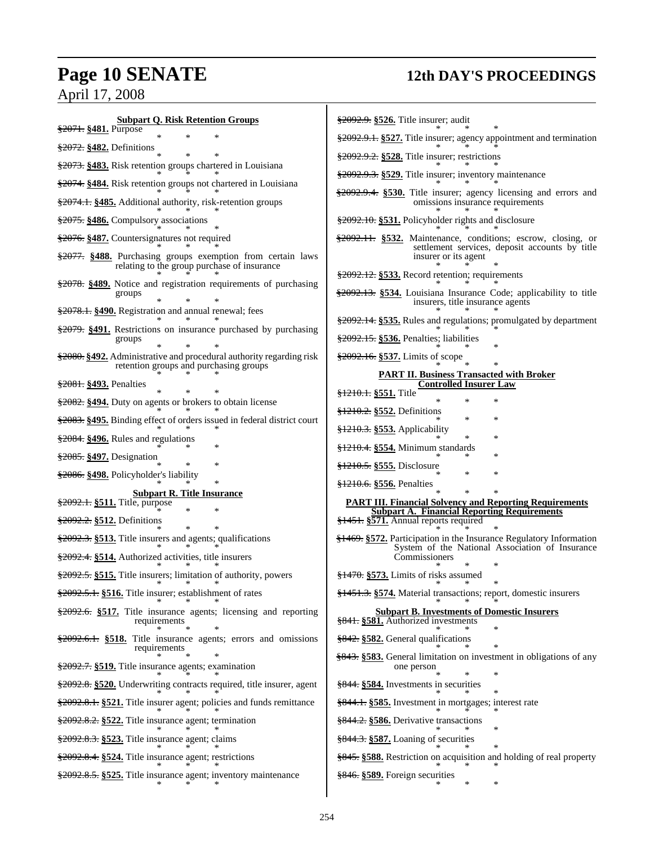## **Page 10 SENATE 12th DAY'S PROCEEDINGS**

## April 17, 2008

| <b>Subpart Q. Risk Retention Groups</b><br>§2071. §481. Purpose                                                                     | §2092.9. §526. Title insurer; audit                                                                                   |
|-------------------------------------------------------------------------------------------------------------------------------------|-----------------------------------------------------------------------------------------------------------------------|
| ∗<br>$\frac{2072}{25}$ §482. Definitions                                                                                            | §2092.9.1. §527. Title insurer; agency appointment and termination                                                    |
| §2073. §483. Risk retention groups chartered in Louisiana                                                                           | $\frac{$2092.9.2}{\\8528}$ . Title insurer; restrictions                                                              |
| §2074. §484. Risk retention groups not chartered in Louisiana                                                                       | §2092.9.3. §529. Title insurer; inventory maintenance                                                                 |
| §2074.1. §485. Additional authority, risk-retention groups                                                                          | \$2092.9.4. \$530. Title insurer; agency licensing and errors and<br>omissions insurance requirements                 |
| §2075. §486. Compulsory associations                                                                                                | §2092.10. §531. Policyholder rights and disclosure                                                                    |
| §2076. §487. Countersignatures not required                                                                                         | §2092.11. §532. Maintenance, conditions; escrow, closing, or                                                          |
| \$2077. §488. Purchasing groups exemption from certain laws                                                                         | settlement services, deposit accounts by title<br>insurer or its agent                                                |
| relating to the group purchase of insurance                                                                                         | $\frac{2092.12}{2092.12}$ \$533. Record retention; requirements                                                       |
| \$2078. §489. Notice and registration requirements of purchasing<br>groups                                                          | \$2092.13. \$534. Louisiana Insurance Code; applicability to title<br>insurers, title insurance agents                |
| §2078.1. §490. Registration and annual renewal; fees                                                                                | \$2092.14. \$535. Rules and regulations; promulgated by department                                                    |
| §2079. §491. Restrictions on insurance purchased by purchasing<br>groups                                                            | §2092.15. §536. Penalties; liabilities                                                                                |
| \$2080. §492. Administrative and procedural authority regarding risk                                                                | $\frac{$2092.16}{\\8537}$ . Limits of scope                                                                           |
| retention groups and purchasing groups                                                                                              | <b>PART II. Business Transacted with Broker</b>                                                                       |
| §2081. §493. Penalties                                                                                                              | <b>Controlled Insurer Law</b><br>$\frac{1210.1}{2551}$ . Title                                                        |
| \$2082. §494. Duty on agents or brokers to obtain license                                                                           | $\ast$<br>$\ast$<br>$\frac{1210.2}{2552}$ . Definitions                                                               |
| \$2083. §495. Binding effect of orders issued in federal district court                                                             | $\ast$<br>§1210.3. §553. Applicability                                                                                |
| $\frac{$2084}{1000}$ . Rules and regulations                                                                                        | ×<br><del>§1210.4.</del> §554. Minimum standards                                                                      |
| \$2085. §497. Designation<br>$\ast$                                                                                                 | ×<br>§1210.5. §555. Disclosure                                                                                        |
| \$2086. §498. Policyholder's liability                                                                                              |                                                                                                                       |
|                                                                                                                                     |                                                                                                                       |
| <b>Subpart R. Title Insurance</b>                                                                                                   | §1210.6. §556. Penalties                                                                                              |
| §2092.1. §511. Title, purpose<br>$\ast$<br>$\ast$                                                                                   | <b>PART III. Financial Solvency and Reporting Requirements</b><br><b>Subpart A. Financial Reporting Requirements</b>  |
| \$2092.2. §512. Definitions                                                                                                         | §1451. §571. Annual reports required                                                                                  |
| \$2092.3. \$513. Title insurers and agents; qualifications                                                                          | §1469. §572. Participation in the Insurance Regulatory Information<br>System of the National Association of Insurance |
| \$2092.4. \$514. Authorized activities, title insurers                                                                              | Commissioners                                                                                                         |
| \$2092.5. \$515. Title insurers; limitation of authority, powers<br>$\ast$                                                          | $\frac{$1470}{&8573}$ . Limits of risks assumed                                                                       |
| §2092.5.1. §516. Title insurer; establishment of rates                                                                              | §1451.3. §574. Material transactions; report, domestic insurers                                                       |
| $\frac{$2092.6}{82092.6}$ \$517. Title insurance agents; licensing and reporting<br>requirements                                    | <b>Subpart B. Investments of Domestic Insurers</b><br>§841. §581. Authorized investments<br>*                         |
| \$2092.6.1. \$518. Title insurance agents; errors and omissions                                                                     | §842. §582. General qualifications                                                                                    |
| requirements<br>§2092.7. §519. Title insurance agents; examination                                                                  | \$843. \$583. General limitation on investment in obligations of any<br>one person                                    |
| §2092.8. §520. Underwriting contracts required, title insurer, agent                                                                | §844. §584. Investments in securities                                                                                 |
| \$2092.8.1. \$521. Title insurer agent; policies and funds remittance                                                               | §844.1. §585. Investment in mortgages; interest rate                                                                  |
| §2092.8.2. §522. Title insurance agent; termination                                                                                 | §844.2. §586. Derivative transactions                                                                                 |
| \$2092.8.3. \$523. Title insurance agent; claims                                                                                    | $\frac{$844.3}{8587}$ . Loaning of securities                                                                         |
|                                                                                                                                     | §845. §588. Restriction on acquisition and holding of real property                                                   |
| $\frac{$2092.8.4}{\\8524}$ . Title insurance agent; restrictions<br>\$2092.8.5. \$525. Title insurance agent; inventory maintenance | §846. §589. Foreign securities<br>∗                                                                                   |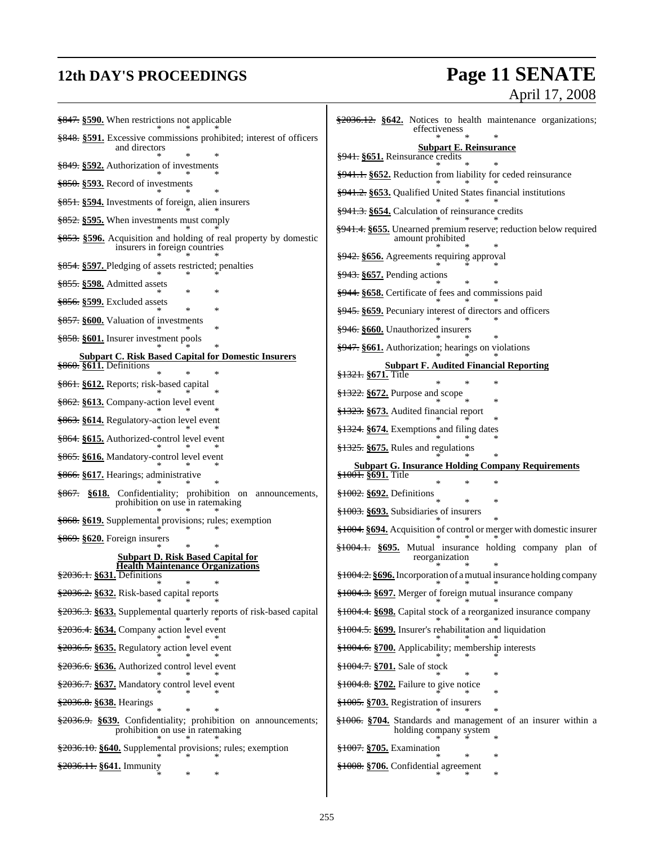## **12th DAY'S PROCEEDINGS Page 11 SENATE** April 17, 2008

| $\frac{1}{2847}$ . \$590. When restrictions not applicable                                          | $\frac{$2036.12}{\\8040.12}$ \$642. Notices to health maintenance organizations;<br>effectiveness |
|-----------------------------------------------------------------------------------------------------|---------------------------------------------------------------------------------------------------|
| \$848. \$591. Excessive commissions prohibited; interest of officers<br>and directors               | <b>Subpart E. Reinsurance</b>                                                                     |
| \$849. \$592. Authorization of investments                                                          | §941. §651. Reinsurance credits                                                                   |
| $\frac{256}{3850}$ . $\S 593$ . Record of investments                                               | §941.1. §652. Reduction from liability for ceded reinsurance                                      |
| §851. §594. Investments of foreign, alien insurers                                                  | §941.2. §653. Qualified United States financial institutions                                      |
| §852. §595. When investments must comply                                                            | §941.3. §654. Calculation of reinsurance credits                                                  |
| §853. §596. Acquisition and holding of real property by domestic                                    | <del>§941.4.</del> §655. Unearned premium reserve; reduction below required<br>amount prohibited  |
| insurers in foreign countries                                                                       | §942. §656. Agreements requiring approval                                                         |
| §854. §597. Pledging of assets restricted; penalties                                                | $\frac{1}{2}$ 943. $\S$ 657. Pending actions                                                      |
| §855. §598. Admitted assets<br>*                                                                    | §944. §658. Certificate of fees and commissions paid                                              |
| $\frac{8556}{8599}$ . Excluded assets<br>∗                                                          | <del>§945.</del> §659. Pecuniary interest of directors and officers                               |
| \$857. \$600. Valuation of investments<br>∗                                                         | §946. §660. Unauthorized insurers                                                                 |
| <del>§858.</del> §601. Insurer investment pools                                                     | §947. §661. Authorization; hearings on violations                                                 |
| <b>Subpart C. Risk Based Capital for Domestic Insurers</b><br>$\frac{$860}{8611}$ . Definitions     | <b>Subpart F. Audited Financial Reporting</b>                                                     |
| ∗<br>§861. §612. Reports; risk-based capital                                                        | <del>§1321.</del> §671. Title                                                                     |
| §862. §613. Company-action level event                                                              | $\frac{$1322}{00}$ . $\frac{$672}{00}$ Purpose and scope                                          |
|                                                                                                     | §1323. §673. Audited financial report                                                             |
| §863. §614. Regulatory-action level event                                                           | $\frac{1224}{1224}$ . §674. Exemptions and filing dates                                           |
| <del>§864.</del> §615. Authorized-control level event                                               | $\frac{$1325}{0.8675}$ . Rules and regulations                                                    |
| <del>§865.</del> §616. Mandatory-control level event                                                | <b>Subpart G. Insurance Holding Company Requirements</b>                                          |
| §866. §617. Hearings; administrative                                                                | <del>§1001.</del> §691. Title                                                                     |
| §867. §618. Confidentiality; prohibition on announcements,<br>prohibition on use in ratemaking      | $\frac{$1002}{9000}$ . $\frac{$692}{9000}$ . Definitions<br>*                                     |
| §868. §619. Supplemental provisions; rules; exemption                                               | §1003. §693. Subsidiaries of insurers                                                             |
| $\frac{669}{3669}$ . §620. Foreign insurers                                                         | <del>§1004.</del> §694. Acquisition of control or merger with domestic insurer                    |
| <b>Subpart D. Risk Based Capital for</b>                                                            | §1004.1. §695. Mutual insurance holding company plan of<br>reorganization                         |
| <b>Health Maintenance Organizations</b><br>§2036.1. §631. Definitions                               | \$1004.2. \$696. Incorporation of a mutual insurance holding company                              |
| §2036.2. §632. Risk-based capital reports                                                           | §1004.3. §697. Merger of foreign mutual insurance company                                         |
| §2036.3. §633. Supplemental quarterly reports of risk-based capital                                 | <del>§1004.4.</del> §698. Capital stock of a reorganized insurance company                        |
| §2036.4. §634. Company action level event                                                           | \$1004.5. \$699. Insurer's rehabilitation and liquidation                                         |
| §2036.5. §635. Regulatory action level event                                                        | §1004.6. §700. Applicability; membership interests                                                |
| §2036.6. §636. Authorized control level event                                                       | <del>§1004.7.</del> §701. Sale of stock                                                           |
| §2036.7. §637. Mandatory control level event                                                        | $\ast$<br>§1004.8. §702. Failure to give notice                                                   |
|                                                                                                     | §1005. §703. Registration of insurers                                                             |
| §2036.8. §638. Hearings                                                                             |                                                                                                   |
| \$2036.9. \$639. Confidentiality; prohibition on announcements;<br>prohibition on use in ratemaking | <del>§1006.</del> §704. Standards and management of an insurer within a<br>holding company system |
| §2036.10. §640. Supplemental provisions; rules; exemption                                           | <del>§1007.</del> §705. Examination<br>∗                                                          |
| §2036.11. §641. Immunity<br>∗<br>∗                                                                  | §1008. §706. Confidential agreement                                                               |
|                                                                                                     |                                                                                                   |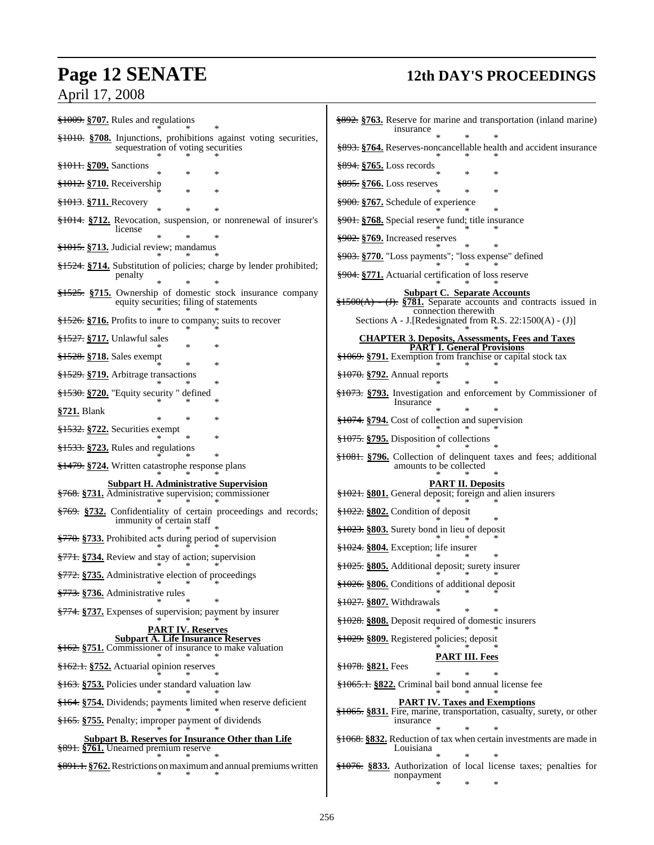## **Page 12 SENATE 12th DAY'S PROCEEDINGS**

## April 17, 2008

| §1009. §707. Rules and regulations                                                                          | \$892. \$763. Reserve for marine and transportation (inland marine)<br>insurance                                                         |
|-------------------------------------------------------------------------------------------------------------|------------------------------------------------------------------------------------------------------------------------------------------|
| §1010. §708. Injunctions, prohibitions against voting securities,<br>sequestration of voting securities     | §893. §764. Reserves-noncancellable health and accident insurance                                                                        |
| \$1011. \$709. Sanctions                                                                                    | $\frac{894}{8765}$ . Loss records                                                                                                        |
| §1012. §710. Receivership<br>氺                                                                              | $\frac{895}{500}$ . $\frac{1000}{5000}$ Loss reserves<br>$\ast$                                                                          |
| §1013. §711. Recovery                                                                                       | $\frac{1}{2}900$ . §767. Schedule of experience                                                                                          |
| §1014. §712. Revocation, suspension, or nonrenewal of insurer's                                             | <del>§901.</del> §768. Special reserve fund; title insurance                                                                             |
| license                                                                                                     | $\frac{1}{2902}$ . §769. Increased reserves                                                                                              |
| <del>§1015.</del> §713. Judicial review; mandamus                                                           | <del>§903.</del> §770. "Loss payments"; "loss expense" defined                                                                           |
| §1524. §714. Substitution of policies; charge by lender prohibited;<br>penalty                              | §904. §771. Actuarial certification of loss reserve                                                                                      |
| §1525. §715. Ownership of domestic stock insurance company<br>equity securities; filing of statements       | <b>Subpart C. Separate Accounts</b><br>$\frac{$1500(A) - (J)}{3781}$ . Separate accounts and contracts issued in<br>connection therewith |
| $\frac{1526}{1526}$ . $\frac{1016}{1016}$ . Profits to inure to company; suits to recover                   | Sections A - J. [Redesignated from R.S. 22:1500(A) - (J)]                                                                                |
| <del>§1527.</del> §717. Unlawful sales                                                                      | <b>CHAPTER 3. Deposits, Assessments, Fees and Taxes</b><br><b>PART I. General Provisions</b>                                             |
| <del>§1528.</del> §718. Sales exempt<br>∗                                                                   | §1069. §791. Exemption from franchise or capital stock tax                                                                               |
| §1529. §719. Arbitrage transactions                                                                         | <del>§1070.</del> §792. Annual reports                                                                                                   |
| $\frac{$1530}{1000}$ . $\frac{$720}{1000}$ . "Equity security" defined                                      | §1073. §793. Investigation and enforcement by Commissioner of<br>Insurance                                                               |
| §721. Blank                                                                                                 | §1074. §794. Cost of collection and supervision                                                                                          |
| §1532. §722. Securities exempt                                                                              | §1075. §795. Disposition of collections                                                                                                  |
| §1533. §723. Rules and regulations                                                                          | \$1081. \$796. Collection of delinquent taxes and fees; additional                                                                       |
| <del>§1479.</del> §724. Written catastrophe response plans                                                  | amounts to be collected                                                                                                                  |
| <b>Subpart H. Administrative Supervision</b><br>§768. §731. Administrative supervision; commissioner        | <b>PART II. Deposits</b><br>§1021. §801. General deposit; foreign and alien insurers                                                     |
| \$769. \$732. Confidentiality of certain proceedings and records;<br>immunity of certain staff              | $\frac{$1022}{,}$ \$802. Condition of deposit                                                                                            |
| \$770. \$733. Prohibited acts during period of supervision                                                  | §1023. §803. Surety bond in lieu of deposit                                                                                              |
| §771. §734. Review and stay of action; supervision                                                          | §1024. §804. Exception; life insurer                                                                                                     |
| <del>§772.</del> §735. Administrative election of proceedings                                               | §1025. §805. Additional deposit; surety insurer                                                                                          |
| §773. §736. Administrative rules                                                                            | §1026. §806. Conditions of additional deposit                                                                                            |
| §774. §737. Expenses of supervision; payment by insurer                                                     | $\frac{$1027}{1000}$ \$1027. Withdrawals                                                                                                 |
| <b>PART IV. Reserves</b>                                                                                    | \$1028. §808. Deposit required of domestic insurers                                                                                      |
| <b>Subpart A. Life Insurance Reserves</b><br>§162. §751. Commissioner of insurance to make valuation        | §1029. §809. Registered policies; deposit                                                                                                |
| §162.1. §752. Actuarial opinion reserves                                                                    | <b>PART III. Fees</b><br>$$1078.$ \$821. Fees                                                                                            |
| \$163. \$753. Policies under standard valuation law                                                         | \$1065.1. \$822. Criminal bail bond annual license fee                                                                                   |
| §164. §754. Dividends; payments limited when reserve deficient                                              | <b>PART IV. Taxes and Exemptions</b>                                                                                                     |
| §165. §755. Penalty; improper payment of dividends                                                          | \$1065. §831. Fire, marine, transportation, casualty, surety, or other<br>insurance                                                      |
| <b>Subpart B. Reserves for Insurance Other than Life</b><br><del>§891.</del> §761. Unearned premium reserve | §1068. §832. Reduction of tax when certain investments are made in<br>Louisiana                                                          |
| \$891.1. \$762. Restrictions on maximum and annual premiums written                                         |                                                                                                                                          |

\* \* \*

| insurance                                                           |                           | $\ast$         | <del>§892.</del> §763. Reserve for marine and transportation (inland marine)<br>$\ast$                                                                                 |
|---------------------------------------------------------------------|---------------------------|----------------|------------------------------------------------------------------------------------------------------------------------------------------------------------------------|
|                                                                     |                           |                | \$893. \$764. Reserves-noncancellable health and accident insurance                                                                                                    |
| <del>§894.</del> §765. Loss records                                 |                           |                |                                                                                                                                                                        |
| <del>§895.</del> §766. Loss reserves                                |                           | ∗              | ∗                                                                                                                                                                      |
| <del>§900.</del> §767. Schedule of experience                       |                           | ∗              | *                                                                                                                                                                      |
| <del>§901.</del> §768. Special reserve fund; title insurance        |                           |                | *                                                                                                                                                                      |
|                                                                     |                           |                |                                                                                                                                                                        |
| <del>§903.</del> §770. "Loss payments"; "loss expense" defined      |                           | ∗              | ∗                                                                                                                                                                      |
| <del>§904.</del> §771. Actuarial certification of loss reserve      |                           |                |                                                                                                                                                                        |
|                                                                     | connection therewith      |                | Subpart C. Separate Accounts<br>$\frac{$1500(A) - (J)}{3781}$ . Separate accounts and contracts issued in<br>Sections A - J. [Redesignated from R.S. 22:1500(A) - (J)] |
|                                                                     |                           |                | <b>CHAPTER 3. Deposits, Assessments, Fees and Taxes</b>                                                                                                                |
| §1069. §791. Exemption from franchise or capital stock tax          |                           |                | <b>PART I. General Provisions</b>                                                                                                                                      |
| <del>§1070.</del> §792. Annual reports                              |                           |                |                                                                                                                                                                        |
|                                                                     |                           |                | *                                                                                                                                                                      |
| Insurance                                                           |                           | ∗              | <del>§1073.</del> §793. Investigation and enforcement by Commissioner of<br>∗                                                                                          |
| <del>§1074.</del> §794. Cost of collection and supervision          |                           |                |                                                                                                                                                                        |
| <del>§1075.</del> §795. Disposition of collections                  |                           |                | $\ast$                                                                                                                                                                 |
| amounts to be collected                                             |                           |                | <del>§1081.</del> §796. Collection of delinquent taxes and fees; additional                                                                                            |
|                                                                     |                           |                |                                                                                                                                                                        |
| <del>§1021.</del> §801. General deposit; foreign and alien insurers | PART II <u>, Deposits</u> |                |                                                                                                                                                                        |
|                                                                     |                           |                |                                                                                                                                                                        |
| $\frac{1023}{1023}$ . \$803. Surety bond in lieu of deposit         |                           |                |                                                                                                                                                                        |
| $\frac{$1024}{1000}$ \$804. Exception; life insurer                 |                           |                | ∗                                                                                                                                                                      |
| <del>§1025.</del> §805. Additional deposit; surety insurer          |                           |                |                                                                                                                                                                        |
| §1026. §806. Conditions of additional deposit                       |                           |                |                                                                                                                                                                        |
| §1027. §807. Withdrawals                                            |                           | *              | ∗                                                                                                                                                                      |
| \$1028. §808. Deposit required of domestic insurers                 |                           |                |                                                                                                                                                                        |
| §1029. §809. Registered policies; deposit                           |                           |                |                                                                                                                                                                        |
|                                                                     |                           | PART III. Fees |                                                                                                                                                                        |
| <del>§1078.</del> §821. Fees                                        | *                         | ∗              | ∗                                                                                                                                                                      |
| §1065.1. §822. Criminal bail bond annual license fee                |                           |                |                                                                                                                                                                        |
|                                                                     |                           |                | <b>PART IV. Taxes and Exemptions</b>                                                                                                                                   |
|                                                                     |                           |                | <del>§1065.</del> §831. Fire, marine, transportation, casualty, surety, or other                                                                                       |
| <i>nsurance</i>                                                     |                           | $\ast$         | ∗                                                                                                                                                                      |
|                                                                     |                           |                | <del>§1068.</del> §832. Reduction of tax when certain investments are made in                                                                                          |
| Louisiana                                                           | ×                         |                |                                                                                                                                                                        |
|                                                                     |                           | $\ast$         | ∗                                                                                                                                                                      |

nonpayment

\* \* \*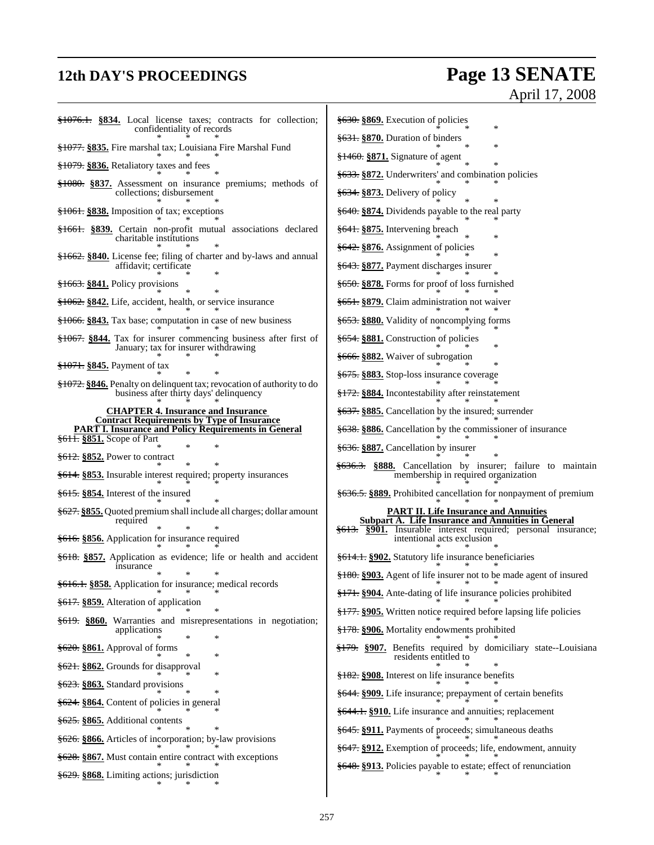## **12th DAY'S PROCEEDINGS Page 13 SENATE** April 17, 2008

| $\frac{$1076.1}{\\8034}$ . Local license taxes; contracts for collection;<br>confidentiality of records                  | §630. §869. Execution of policies<br>*                                                                       |
|--------------------------------------------------------------------------------------------------------------------------|--------------------------------------------------------------------------------------------------------------|
| <del>§1077.</del> §835. Fire marshal tax; Louisiana Fire Marshal Fund                                                    | $\frac{2631}{3631}$ \\$870. Duration of binders<br>∗                                                         |
| $\frac{$1079}{&8036}$ . Retaliatory taxes and fees                                                                       | $\frac{1460}{181460}$ \\$871. Signature of agent                                                             |
| \$1080. \$837. Assessment on insurance premiums; methods of                                                              | <del>§633.</del> §872. Underwriters' and combination policies                                                |
| collections; disbursement                                                                                                | $\frac{2634}{1000}$ \$873. Delivery of policy                                                                |
| $\frac{1061}{2000}$ \$838. Imposition of tax; exceptions                                                                 | \$640. \$874. Dividends payable to the real party                                                            |
| §1661. §839. Certain non-profit mutual associations declared<br>charitable institutions                                  | <del>§641.</del> §875. Intervening breach<br>×                                                               |
| §1662. §840. License fee; filing of charter and by-laws and annual                                                       | §642. §876. Assignment of policies                                                                           |
| affidavit; certificate                                                                                                   | §643. §877. Payment discharges insurer                                                                       |
| $\frac{1663}{1663}$ \$841. Policy provisions                                                                             | $\frac{2650}{3650}$ . $\frac{8878}{3650}$ . Forms for proof of loss furnished                                |
| <del>§1062.</del> §842. Life, accident, health, or service insurance                                                     | <del>§651.</del> §879. Claim administration not waiver                                                       |
| $\frac{$1066}{10000}$ . \$843. Tax base; computation in case of new business                                             | <del>§653.</del> §880. Validity of noncomplying forms                                                        |
| $\frac{$1067}{1000}$ . \$844. Tax for insurer commencing business after first of<br>January; tax for insurer withdrawing | $\frac{2654}{1000}$ \$654. S881. Construction of policies<br>*                                               |
| <del>§1071.</del> §845. Payment of tax                                                                                   | <del>§666.</del> §882. Waiver of subrogation                                                                 |
| §1072. §846. Penalty on delinquent tax; revocation of authority to do                                                    | <del>§675.</del> §883. Stop-loss insurance coverage                                                          |
| business after thirty days' delinquency                                                                                  | <del>§172.</del> §884. Incontestability after reinstatement                                                  |
| <b>CHAPTER 4. Insurance and Insurance</b><br><b>Contract Requirements by Type of Insurance</b>                           | §637. §885. Cancellation by the insured; surrender                                                           |
| <b>PART I. Insurance and Policy Requirements in General</b><br>\$611. \$851. Scope of Part                               | §638. §886. Cancellation by the commissioner of insurance                                                    |
| $\frac{2612}{2652}$ . Power to contract                                                                                  | <del>§636.</del> §887. Cancellation by insurer                                                               |
| \$614. \$853. Insurable interest required; property insurances                                                           | <del>§636.3.</del> §888. Cancellation by insurer; failure to maintain<br>membership in required organization |
| $\frac{615}{615}$ §854. Interest of the insured                                                                          | §636.5. §889. Prohibited cancellation for nonpayment of premium                                              |
| \$627. \$855. Quoted premium shall include all charges; dollar amount<br>required                                        | <b>PART II. Life Insurance and Annuities</b><br><b>Subpart A. Life Insurance and Annuities in General</b>    |
| §616. §856. Application for insurance required                                                                           | §613. §901. Insurable interest required; personal insurance;<br>intentional acts exclusion                   |
| §618. §857. Application as evidence; life or health and accident                                                         | <del>§614.1.</del> §902. Statutory life insurance beneficiaries                                              |
| insurance                                                                                                                | \$180. §903. Agent of life insurer not to be made agent of insured                                           |
| §616.1. §858. Application for insurance; medical records<br><del>§617.</del> §859. Alteration of application             | §171. §904. Ante-dating of life insurance policies prohibited                                                |
|                                                                                                                          | \$177. §905. Written notice required before lapsing life policies                                            |
| §619. §860. Warranties and misrepresentations in negotiation;<br>applications                                            | §178. §906. Mortality endowments prohibited                                                                  |
| $\frac{2620}{5620}$ . $\frac{861}{1}$ . Approval of forms<br>*                                                           | §179. §907. Benefits required by domiciliary state--Louisiana<br>residents entitled to                       |
| §621. §862. Grounds for disapproval                                                                                      | §182. §908. Interest on life insurance benefits                                                              |
| §623. §863. Standard provisions                                                                                          | §644. §909. Life insurance; prepayment of certain benefits                                                   |
| §624. §864. Content of policies in general                                                                               | §644.1. §910. Life insurance and annuities; replacement                                                      |
| §625. §865. Additional contents                                                                                          | §645. §911. Payments of proceeds; simultaneous deaths                                                        |
| \$626. §866. Articles of incorporation; by-law provisions                                                                | §647. §912. Exemption of proceeds; life, endowment, annuity                                                  |
| §628. §867. Must contain entire contract with exceptions                                                                 | §648. §913. Policies payable to estate; effect of renunciation                                               |
| §629. §868. Limiting actions; jurisdiction                                                                               |                                                                                                              |
|                                                                                                                          |                                                                                                              |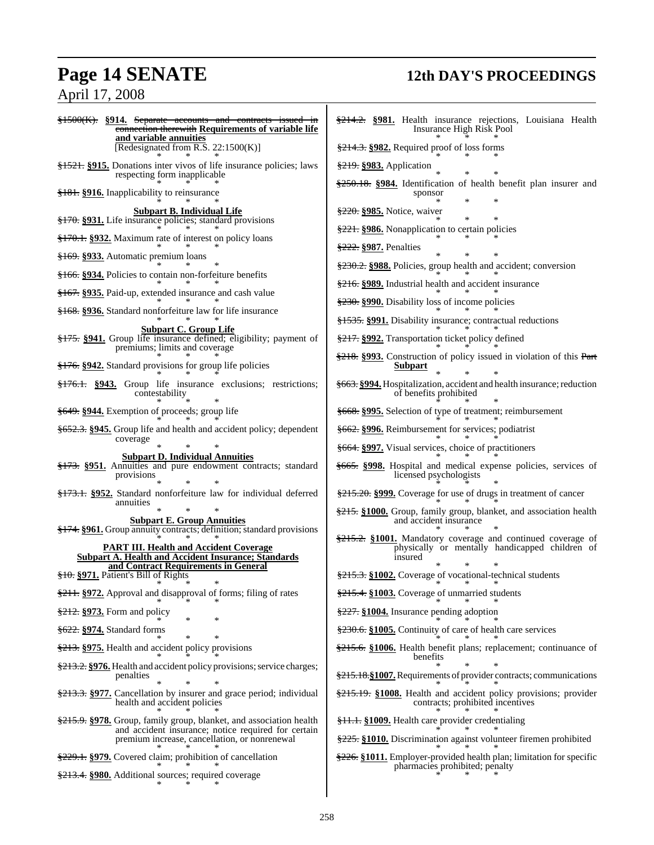## April 17, 2008

## **Page 14 SENATE 12th DAY'S PROCEEDINGS**

| §1500(K). §914. Separate accounts and contracts issued in<br>connection therewith Requirements of variable life<br>and variable annuities | \$214.2. \$981. Health insurance rejections, Louisiana Health<br>Insurance High Risk Pool                             |
|-------------------------------------------------------------------------------------------------------------------------------------------|-----------------------------------------------------------------------------------------------------------------------|
| [Redesignated from R.S. 22:1500(K)]                                                                                                       | $\frac{$214.3}{\\824.}$ §982. Required proof of loss forms                                                            |
| <del>§1521.</del> §915. Donations inter vivos of life insurance policies; laws<br>respecting form inapplicable                            | §219. §983. Application                                                                                               |
| §181. §916. Inapplicability to reinsurance                                                                                                | $\frac{$250.18}{100.18}$ \\$984. Identification of health benefit plan insurer and<br>sponsor                         |
| <b>Subpart B. Individual Life</b><br>\$170. \$931. Life insurance policies; standard provisions                                           | §220. §985. Notice, waiver                                                                                            |
| <del>§170.1.</del> §932. Maximum rate of interest on policy loans                                                                         | §221. §986. Nonapplication to certain policies                                                                        |
| <del>§169.</del> §933. Automatic premium loans                                                                                            | \$222. §987. Penalties                                                                                                |
| <del>§166.</del> §934. Policies to contain non-forfeiture benefits                                                                        | \$230.2. §988. Policies, group health and accident; conversion                                                        |
| §167. §935. Paid-up, extended insurance and cash value                                                                                    | \$216. §989. Industrial health and accident insurance                                                                 |
| §168. §936. Standard nonforfeiture law for life insurance                                                                                 | \$230. \$990. Disability loss of income policies                                                                      |
| <b>Subpart C. Group Life</b>                                                                                                              | §1535. §991. Disability insurance; contractual reductions                                                             |
| §175. §941. Group life insurance defined; eligibility; payment of<br>premiums; limits and coverage                                        | §217. §992. Transportation ticket policy defined                                                                      |
| \$176. \$942. Standard provisions for group life policies                                                                                 | $\frac{$218}{9218}$ . S993. Construction of policy issued in violation of this Part<br>Subpart                        |
| \$176.1. §943. Group life insurance exclusions; restrictions;<br>contestability                                                           | §663. §994. Hospitalization, accident and health insurance; reduction<br>of benefits prohibited                       |
| §649. §944. Exemption of proceeds; group life                                                                                             | §668. §995. Selection of type of treatment; reimbursement                                                             |
| \$652.3. §945. Group life and health and accident policy; dependent<br>coverage                                                           | §662. §996. Reimbursement for services; podiatrist                                                                    |
| <b>Subpart D. Individual Annuities</b>                                                                                                    | <del>§664.</del> §997. Visual services, choice of practitioners                                                       |
| §173. §951. Annuities and pure endowment contracts; standard<br>provisions                                                                | §665. §998. Hospital and medical expense policies, services of<br>licensed psychologists                              |
| §173.1. §952. Standard nonforfeiture law for individual deferred                                                                          | \$215.20. §999. Coverage for use of drugs in treatment of cancer                                                      |
| annuities<br><b>Subpart E. Group Annuities</b>                                                                                            | §215. §1000. Group, family group, blanket, and association health<br>and accident insurance                           |
| <del>§174.</del> §961. Group annuity contracts; definition; standard provisions                                                           | \$215.2. \$1001. Mandatory coverage and continued coverage of                                                         |
| <b>PART III. Health and Accident Coverage</b><br><b>Subpart A. Health and Accident Insurance; Standards</b>                               | physically or mentally handicapped children of<br>insured                                                             |
| and Contract Requirements in General<br>§10. §971. Patient's Bill of Rights                                                               | \$215.3. §1002. Coverage of vocational-technical students                                                             |
| \$211. \$972. Approval and disapproval of forms; filing of rates                                                                          | \$215.4. §1003. Coverage of unmarried students                                                                        |
| \$212. \$973. Form and policy                                                                                                             | §227. §1004. Insurance pending adoption                                                                               |
| <del>§622.</del> § <b>974.</b> Standard forms                                                                                             | \$230.6. §1005. Continuity of care of health care services                                                            |
| ∗<br>\$213. \$975. Health and accident policy provisions                                                                                  | $\frac{215.6}{215.6}$ . \$1006. Health benefit plans; replacement; continuance of<br>benefits                         |
| \$213.2. §976. Health and accident policy provisions; service charges;<br>penalties                                                       | \$215.18. \$1007. Requirements of provider contracts; communications                                                  |
| \$213.3. §977. Cancellation by insurer and grace period; individual<br>health and accident policies                                       | $\frac{215.19}{215.19}$ . \$1008. Health and accident policy provisions; provider<br>contracts; prohibited incentives |
| \$215.9. \$978. Group, family group, blanket, and association health                                                                      | <del>§11.1.</del> §1009. Health care provider credentialing                                                           |
| and accident insurance; notice required for certain<br>premium increase, cancellation, or nonrenewal                                      | \$225. §1010. Discrimination against volunteer firemen prohibited                                                     |
| \$229.1. \$979. Covered claim; prohibition of cancellation                                                                                | $\frac{226}{226}$ . §1011. Employer-provided health plan; limitation for specific                                     |
| <del>§213.4.</del> §980. Additional sources; required coverage                                                                            | pharmacies prohibited; penalty                                                                                        |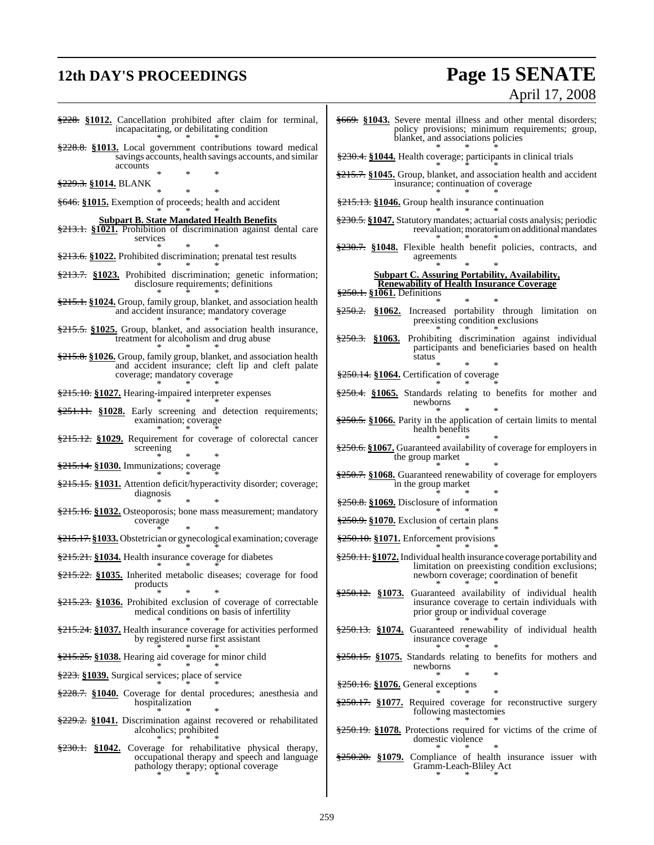## **12th DAY'S PROCEEDINGS Page 15 SENATE**

# April 17, 2008

- §228. **§1012.** Cancellation prohibited after claim for terminal, incapacitating, or debilitating condition \* \* \* §228.8. **§1013.** Local government contributions toward medical savings accounts, health savings accounts, and similar accounts \* \* \* §229.3. **§1014.** BLANK \* \* \* §646. **§1015.** Exemption of proceeds; health and accident \* \* \* **Subpart B. State Mandated Health Benefits** §213.1. **§1021.** Prohibition of discrimination against dental care services \* \* \* §213.6. **§1022.** Prohibited discrimination; prenatal test results \* \* \* §213.7. **§1023.** Prohibited discrimination; genetic information; disclosure requirements; definitions \* \* \* §215.1. **§1024.** Group, family group, blanket, and association health and accident insurance; mandatory coverage \* \* \* §215.5. **§1025.** Group, blanket, and association health insurance, treatment for alcoholism and drug abuse \* \* \* §215.8. **§1026.** Group, family group, blanket, and association health and accident insurance; cleft lip and cleft palate coverage; mandatory coverage \* \* \* §215.10. **§1027.** Hearing-impaired interpreter expenses \* \* \*  $\frac{$251.11}{90.251.11}$ . \$1028. Early screening and detection requirements; examination; coverage \* \* \* §215.12. **§1029.** Requirement for coverage of colorectal cancer screening \* \* \* §215.14. **§1030.** Immunizations; coverage \* \* \* §215.15. **§1031.** Attention deficit/hyperactivity disorder; coverage; diagnosis \* \* \* §215.16. **§1032.** Osteoporosis; bone mass measurement; mandatory coverage \* \* \* §215.17. **§1033.** Obstetrician or gynecological examination; coverage \* \* \* §215.21. **§1034.** Health insurance coverage for diabetes \* \* \* §215.22. **§1035.** Inherited metabolic diseases; coverage for food products \* \* \* §215.23. **§1036.** Prohibited exclusion of coverage of correctable medical conditions on basis of infertility \* \* \* §215.24. **§1037.** Health insurance coverage for activities performed by registered nurse first assistant \* \* \* §215.25. **§1038.** Hearing aid coverage for minor child \* \* \* §223. **§1039.** Surgical services; place of service \* \* \* §228.7. **§1040.** Coverage for dental procedures; anesthesia and
- hospitalization \* \* \* §229.2. **§1041.** Discrimination against recovered or rehabilitated
- alcoholics; prohibited \* \* \*
- §230.1. **§1042.** Coverage for rehabilitative physical therapy, occupational therapy and speech and language pathology therapy; optional coverage \* \* \*
- §669. **§1043.** Severe mental illness and other mental disorders; policy provisions; minimum requirements; group, blanket, and associations policies \* \* \*
- §230.4. **§1044.** Health coverage; participants in clinical trials
- \* \* \* §215.7. **§1045.** Group, blanket, and association health and accident insurance; continuation of coverage \* \* \*
- §215.13. **§1046.** Group health insurance continuation
- \* \* \* §230.5. **§1047.** Statutory mandates; actuarial costs analysis; periodic reevaluation; moratorium on additional mandates \* \* \*
- §230.7. **§1048.** Flexible health benefit policies, contracts, and agreements \* \* \*

### **Subpart C. Assuring Portability, Availability, Renewability of Health Insurance Coverage**

§250.1. **§1061.** Definitions

- \* \* \* §250.2. **§1062.** Increased portability through limitation on preexisting condition exclusions \* \* \*
- §250.3. **§1063.** Prohibiting discrimination against individual participants and beneficiaries based on health status
- \* \* \* §250.14. **§1064.** Certification of coverage
- \* \* \* §250.4. **§1065.** Standards relating to benefits for mother and newborns
- \* \* \* §250.5. **§1066.** Parity in the application of certain limits to mental health benefits \* \* \*
- §250.6. **§1067.** Guaranteed availability of coverage for employers in the group market
- \* \* \* §250.7. **§1068.** Guaranteed renewability of coverage for employers in the group market
- \* \* \* §250.8. **§1069.** Disclosure of information
- \* \* \* §250.9. **§1070.** Exclusion of certain plans
- \* \* \* §250.10. **§1071.** Enforcement provisions
- \* \* \* §250.11. **§1072.**Individual health insurance coverage portability and limitation on preexisting condition exclusions; newborn coverage; coordination of benefit \* \* \*
- §250.12. **§1073.** Guaranteed availability of individual health insurance coverage to certain individuals with prior group or individual coverage \* \* \*
- §250.13. **§1074.** Guaranteed renewability of individual health insurance coverage \* \* \*
- §250.15. **§1075.** Standards relating to benefits for mothers and newborns
- \* \* \* §250.16. **§1076.** General exceptions
- \* \* \*
- §250.17. **§1077.** Required coverage for reconstructive surgery following mastectomies \* \* \*
- §250.19. **§1078.** Protections required for victims of the crime of domestic violence \* \* \*
- §250.20. **§1079.** Compliance of health insurance issuer with Gramm-Leach-Bliley Act \* \* \*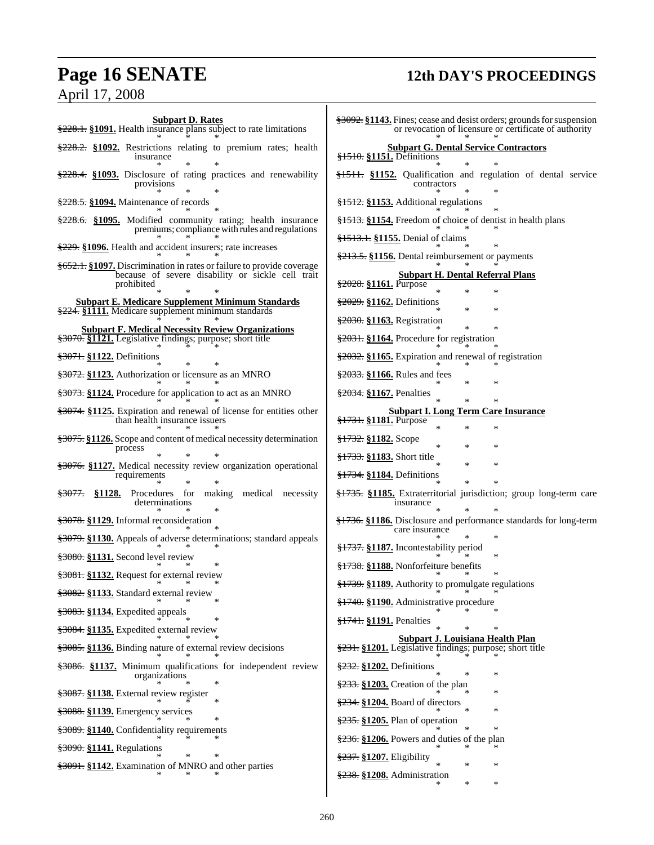## **Page 16 SENATE 12th DAY'S PROCEEDINGS**

## April 17, 2008

| <b>Subpart D. Rates</b><br>$\frac{228.1}{222.1}$ . §1091. Health insurance plans subject to rate limitations   | <del>§3092.</del> §1143. Fines; cease and<br>or revocation o     |
|----------------------------------------------------------------------------------------------------------------|------------------------------------------------------------------|
| \$228.2. §1092. Restrictions relating to premium rates; health<br>insurance                                    | <b>Subpart G. Den</b><br>$\frac{1510}{151}$ . S1151. Definitions |
| $\frac{$228.4}{8228.4}$ . \$1093. Disclosure of rating practices and renewability<br>provisions<br>*           | §1511. §1152. Qualification<br>contractor                        |
| $\frac{$228.5}{\\820.5}$ §1094. Maintenance of records                                                         | <del>§1512.</del> §1153. Additional reg                          |
| \$228.6. §1095. Modified community rating; health insurance<br>premiums; compliance with rules and regulations | <del>§1513.</del> §1154. Freedom of ch                           |
| $\frac{229}{229}$ . \$1096. Health and accident insurers; rate increases                                       | §1513.1. §1155. Denial of cla                                    |
| \$652.1. \$1097. Discrimination in rates or failure to provide coverage                                        | <del>§213.5.</del> §1156. Dental reimbu                          |
| because of severe disability or sickle cell trait<br>prohibited                                                | Subpart H. D<br><del>§2028.</del> §1161. Purpose                 |
| <b>Subpart E. Medicare Supplement Minimum Standards</b><br>\$224. §1111. Medicare supplement minimum standards | <del>§2029.</del> §1162. Definitions                             |
| <b>Subpart F. Medical Necessity Review Organizations</b>                                                       | \$2030. §1163. Registration                                      |
| \$3070. §1121. Legislative findings; purpose; short title                                                      | §2031. §1164. Procedure for a                                    |
| <del>§3071.</del> §1122. Definitions                                                                           | $\frac{2032}{2032}$ §1165. Expiration and                        |
| §3072. §1123. Authorization or licensure as an MNRO                                                            | §2033. §1166. Rules and fees                                     |
| \$3073. \$1124. Procedure for application to act as an MNRO                                                    | $\frac{2034}{2034}$ . §1167. Penalties                           |
| \$3074. \$1125. Expiration and renewal of license for entities other<br>than health insurance issuers          | Subpart I. Long<br>§1731. §1181. Purpose                         |
| \$3075. \$1126. Scope and content of medical necessity determination<br>process                                | <del>§1732.</del> §1182. Scope<br>×                              |
| §3076. §1127. Medical necessity review organization operational                                                | <del>§1733.</del> §1183. Short title                             |
| requirements                                                                                                   | <del>§1734.</del> §1184. Definitions                             |
| Procedures for making medical necessity<br><del>§3077.</del><br>§1128.<br>determinations                       | §1735. §1185. Extraterritoria<br>insurance                       |
| \$3078. §1129. Informal reconsideration                                                                        | <del>§1736.</del> §1186. Disclosure and<br>care insurance        |
| <del>§3079.</del> §1130. Appeals of adverse determinations; standard appeals                                   | <del>§1737.</del> §1187. Incontestability                        |
| \$3080. §1131. Second level review                                                                             | <del>§1738.</del> §1188. Nonforfeiture l                         |
| \$3081. \$1132. Request for external review                                                                    | §1739. §1189. Authority to pr                                    |
| §3082. §1133. Standard external review                                                                         | <del>§1740.</del> §1190. Administrative                          |
| §3083. §1134. Expedited appeals<br>∗                                                                           | §1741. §1191. Penalties                                          |
| §3084. §1135. Expedited external review                                                                        | Subpart J. Lo                                                    |
| \$3085. §1136. Binding nature of external review decisions                                                     | $\frac{231}{2231}$ . §1201. Legislative find                     |
| §3086. §1137. Minimum qualifications for independent review<br>organizations                                   | §232. §1202. Definitions                                         |
| ∗<br><del>§3087.</del> §1138. External review register                                                         | §233. §1203. Creation of the                                     |
| ∗<br>§3088. §1139. Emergency services                                                                          | §234. §1204. Board of directo                                    |
| *<br>§3089. §1140. Confidentiality requirements                                                                | §235. §1205. Plan of operatio                                    |
| §3090. §1141. Regulations                                                                                      | §236. §1206. Powers and duti                                     |
| $\ast$<br>\$3091. \$1142. Examination of MNRO and other parties                                                | §237. §1207. Eligibility                                         |
|                                                                                                                | §238. §1208. Administration                                      |

| <del>§1511.</del> §1152. Qualification and regulation of dental service     |
|-----------------------------------------------------------------------------|
|                                                                             |
|                                                                             |
|                                                                             |
|                                                                             |
|                                                                             |
|                                                                             |
|                                                                             |
|                                                                             |
|                                                                             |
|                                                                             |
|                                                                             |
|                                                                             |
|                                                                             |
|                                                                             |
|                                                                             |
|                                                                             |
|                                                                             |
|                                                                             |
|                                                                             |
| §1735. §1185. Extraterritorial jurisdiction; group long-term care           |
| <del>§1736.</del> §1186. Disclosure and performance standards for long-term |
|                                                                             |
|                                                                             |
|                                                                             |
|                                                                             |
|                                                                             |
|                                                                             |
|                                                                             |
|                                                                             |
|                                                                             |
|                                                                             |
|                                                                             |
|                                                                             |
|                                                                             |
|                                                                             |

\* \* \*

 $\overline{\phantom{a}}$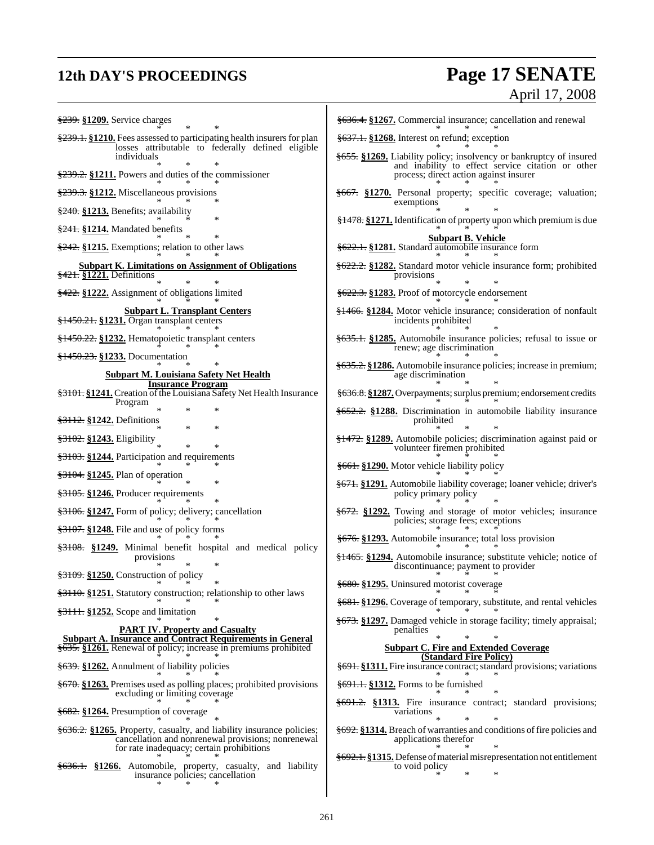## **12th DAY'S PROCEEDINGS Page 17 SENATE**

# April 17, 2008

§239. **§1209.** Service charges \* \* \* §239.1. §1210. Fees assessed to participating health insurers for plan losses attributable to federally defined eligible individuals \* \* \* §239.2. **§1211.** Powers and duties of the commissioner \* \* \* §239.3. **§1212.** Miscellaneous provisions \* \* \* §240. **§1213.** Benefits; availability \* \* \* §241. **§1214.** Mandated benefits \* \* \* §242. **§1215.** Exemptions; relation to other laws \* \* \* **Subpart K. Limitations on Assignment of Obligations** §421. **§1221.** Definitions \* \* \* §422. **§1222.** Assignment of obligations limited \* \* \* **Subpart L. Transplant Centers** §1450.21. **§1231.** Organ transplant centers \* \* \* §1450.22. **§1232.** Hematopoietic transplant centers \* \* \* §1450.23. **§1233.** Documentation \* \* \* **Subpart M. Louisiana Safety Net Health Insurance Program** §3101. §1241. Creation of the Louisiana Safety Net Health Insurance Program \* \* \* §3112. **§1242.** Definitions \* \* \* §3102. **§1243.** Eligibility \* \* \* §3103. **§1244.** Participation and requirements \* \* \* §3104. **§1245.** Plan of operation \* \* \* §3105. **§1246.** Producer requirements \* \* \* §3106. **§1247.** Form of policy; delivery; cancellation \* \* \* §3107. **§1248.** File and use of policy forms \* \* \* §3108. **§1249.** Minimal benefit hospital and medical policy provisions \* \* \* §3109. **§1250.** Construction of policy \* \* \* §3110. **§1251.** Statutory construction; relationship to other laws \* \* \* §3111. **§1252.** Scope and limitation \* \* \* **PART IV. Property and Casualty Subpart A. Insurance and Contract Requirements in General** §635. **§1261.** Renewal of policy; increase in premiums prohibited \* \* \* §639. **§1262.** Annulment of liability policies \* \* \* §670. **§1263.** Premises used as polling places; prohibited provisions excluding or limiting coverage \* \* \* §682. **§1264.** Presumption of coverage \* \* \* §636.2. **§1265.** Property, casualty, and liability insurance policies; cancellation and nonrenewal provisions; nonrenewal for rate inadequacy; certain prohibitions \* \* \* §636.1. **§1266.** Automobile, property, casualty, and liability insurance policies; cancellation \* \* \* §636.4. **§1267.** Commercial insurance; cancellation and renewal \* \* \* §637.1. **§1268.** Interest on refund; exception \* \* \* §655. **§1269.** Liability policy; insolvency or bankruptcy of insured and inability to effect service citation or other process; direct action against insurer \* \* \* §667. **§1270.** Personal property; specific coverage; valuation; exemptions \* \* \* §1478. **§1271.** Identification of property upon which premium is due \* \* \* **Subpart B. Vehicle** §622.1. **§1281.** Standard automobile insurance form \* \* \* §622.2. **§1282.** Standard motor vehicle insurance form; prohibited provisions \* \* \* §622.3. **§1283.** Proof of motorcycle endorsement \* \* \* §1466. **§1284.** Motor vehicle insurance; consideration of nonfault incidents prohibited \* \* \* §635.1. **§1285.** Automobile insurance policies; refusal to issue or renew; age discrimination \* \* \* §635.2. **§1286.** Automobile insurance policies; increase in premium; age discrimination \* \* \* §636.8. **§1287.** Overpayments; surplus premium; endorsement credits \* \* \* §652.2. **§1288.** Discrimination in automobile liability insurance prohibited \* \* \* §1472. **§1289.** Automobile policies; discrimination against paid or volunteer firemen prohibited \* \* \* §661. **§1290.** Motor vehicle liability policy \* \* \* §671. **§1291.** Automobile liability coverage; loaner vehicle; driver's policy primary policy \* \* \* §672. **§1292.** Towing and storage of motor vehicles; insurance policies; storage fees; exceptions \* \* \* §676. **§1293.** Automobile insurance; total loss provision \* \* \* §1465. **§1294.** Automobile insurance; substitute vehicle; notice of discontinuance; payment to provider \* \* \* §680. **§1295.** Uninsured motorist coverage \* \* \* §681. **§1296.** Coverage of temporary, substitute, and rental vehicles \* \* \* §673. **§1297.** Damaged vehicle in storage facility; timely appraisal; penalties \* \* \* **Subpart C. Fire and Extended Coverage (Standard Fire Policy) §691. §1311.** Fire insurance contract; standard provisions; variations \* \* \* §691.1. **§1312.** Forms to be furnished \* \* \* §691.2. **§1313.** Fire insurance contract; standard provisions; variations \* \* \* §692. **§1314.** Breach of warranties and conditions offire policies and applications therefor \* \* \* §692.1. **§1315.** Defense ofmaterialmisrepresentation not entitlement to void policy \* \* \*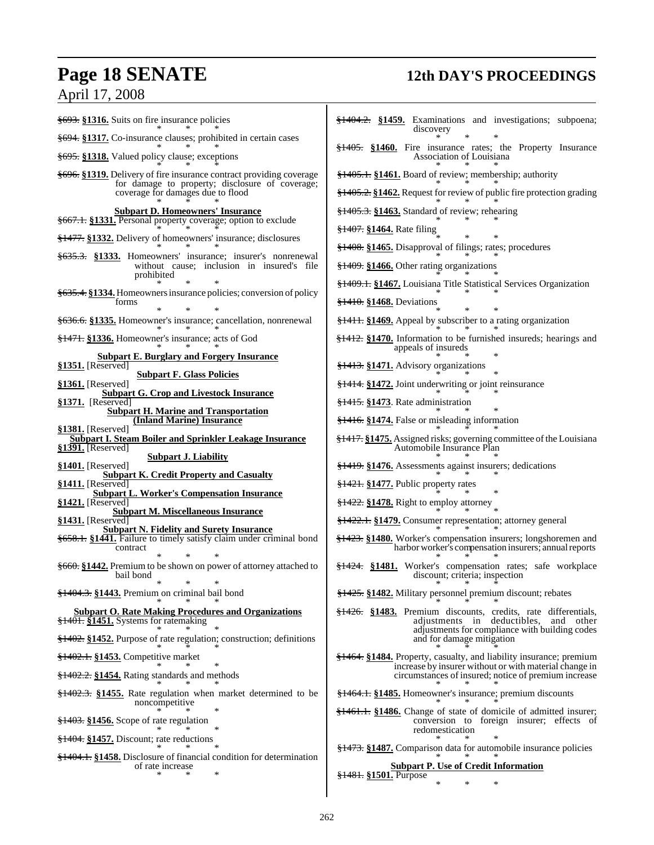## **Page 18 SENATE 12th DAY'S PROCEEDINGS**

## April 17, 2008

| \$693. \$1316. Suits on fire insurance policies                                                                                   | $\frac{$1404.2}{\$1404.2}$ . $\frac{$1459}{\$258}$ . Examinations and investigations; subpoena;<br>discovery                                |
|-----------------------------------------------------------------------------------------------------------------------------------|---------------------------------------------------------------------------------------------------------------------------------------------|
| §694. §1317. Co-insurance clauses; prohibited in certain cases                                                                    | $\frac{$1405}{1000}$ . Fire insurance rates; the Property Insurance                                                                         |
| <del>§695.</del> §1318. Valued policy clause; exceptions                                                                          | Association of Louisiana                                                                                                                    |
| <del>§696.</del> §1319. Delivery of fire insurance contract providing coverage<br>for damage to property; disclosure of coverage; | §1405.1. §1461. Board of review; membership; authority                                                                                      |
| coverage for damages due to flood                                                                                                 | \$1405.2. \$1462. Request for review of public fire protection grading                                                                      |
| <b>Subpart D. Homeowners' Insurance</b>                                                                                           | $\frac{1}{2}$ 1405.3. §1463. Standard of review; rehearing                                                                                  |
| §667.1. §1331. Personal property coverage; option to exclude                                                                      | <del>§1407.</del> §1464. Rate filing                                                                                                        |
| §1477. §1332. Delivery of homeowners' insurance; disclosures                                                                      | §1408. §1465. Disapproval of filings; rates; procedures                                                                                     |
| <del>§635.3.</del> §1333. Homeowners' insurance; insurer's nonrenewal<br>without cause; inclusion in insured's file<br>prohibited | $\frac{12409}{1409}$ . \$1466. Other rating organizations                                                                                   |
| §635.4. §1334. Homeowners insurance policies; conversion of policy                                                                | §1409.1. §1467. Louisiana Title Statistical Services Organization                                                                           |
| forms                                                                                                                             | <del>§1410.</del> §1468. Deviations                                                                                                         |
| §636.6. §1335. Homeowner's insurance; cancellation, nonrenewal                                                                    | \$1411. \$1469. Appeal by subscriber to a rating organization                                                                               |
| <del>§1471.</del> §1336. Homeowner's insurance; acts of God                                                                       | $\frac{1}{2}$ \$1412. \$1470. Information to be furnished insureds; hearings and<br>appeals of insureds                                     |
| <b>Subpart E. Burglary and Forgery Insurance</b><br>§1351. [Reserved]                                                             | <del>§1413.</del> §1471. Advisory organizations                                                                                             |
| <b>Subpart F. Glass Policies</b><br>§1361. [Reserved]                                                                             | $\frac{12414}{11111}$ \$1472. Joint underwriting or joint reinsurance                                                                       |
| <b>Subpart G. Crop and Livestock Insurance</b><br>§1371. [Reserved]                                                               | §1415. §1473. Rate administration                                                                                                           |
| <b>Subpart H. Marine and Transportation</b><br>(Inland Marine) Insurance                                                          | <del>§1416.</del> §1474. False or misleading information                                                                                    |
| §1381. [Reserved]<br><b>Subpart I. Steam Boiler and Sprinkler Leakage Insurance</b>                                               | \$1417. \$1475. Assigned risks; governing committee of the Louisiana                                                                        |
| §1391. [Reserved]<br><b>Subpart J. Liability</b>                                                                                  | Automobile Insurance Plan                                                                                                                   |
| $§1401.$ [Reserved]<br><b>Subpart K. Credit Property and Casualty</b>                                                             | <del>§1419.</del> §1476. Assessments against insurers; dedications                                                                          |
| §1411. [Reserved]<br><b>Subpart L. Worker's Compensation Insurance</b>                                                            | $\frac{1421}{1000}$ \$1421. Public property rates                                                                                           |
| $§1421.$ [Reserved]<br><b>Subpart M. Miscellaneous Insurance</b>                                                                  | $\frac{122.51422}{10.51478}$ . Right to employ attorney                                                                                     |
| §1431. [Reserved]<br><b>Subpart N. Fidelity and Surety Insurance</b>                                                              | <del>§1422.1.</del> §1479. Consumer representation; attorney general                                                                        |
| §658.1. §1441. Failure to timely satisfy claim under criminal bond<br>contract                                                    | <del>§1423.</del> §1480. Worker's compensation insurers; longshoremen and<br>harbor worker's compensation insurers; annual reports          |
| \$660. §1442. Premium to be shown on power of attorney attached to<br>bail bond                                                   | <del>§1424.</del> §1481. Worker's compensation rates; safe workplace<br>discount; criteria; inspection                                      |
| * *<br>§1404.3. §1443. Premium on criminal bail bond                                                                              | $\sim$<br>§1425. §1482. Military personnel premium discount; rebates                                                                        |
| <b>Subpart O. Rate Making Procedures and Organizations</b>                                                                        | \$1426. §1483. Premium discounts, credits, rate differentials,                                                                              |
| §1401. §1451. Systems for ratemaking                                                                                              | adjustments in deductibles, and other<br>adjustments for compliance with building codes                                                     |
| <del>§1402.</del> §1452. Purpose of rate regulation; construction; definitions                                                    | and for damage mitigation                                                                                                                   |
| <del>§1402.1.</del> §1453. Competitive market                                                                                     | <del>§1464.</del> §1484. Property, casualty, and liability insurance; premium<br>increase by insurer without or with material change in     |
| $\frac{$1402.2}{9}$ \\$1454. Rating standards and methods                                                                         | circumstances of insured; notice of premium increase                                                                                        |
| $\frac{$1402.3}{81402.3}$ \$1455. Rate regulation when market determined to be<br>noncompetitive                                  | §1464.1. §1485. Homeowner's insurance; premium discounts                                                                                    |
| $\frac{$1403}{1403}$ . \$1456. Scope of rate regulation                                                                           | <del>§1461.1.</del> §1486. Change of state of domicile of admitted insurer;<br>conversion to foreign insurer; effects of<br>redomestication |
| $\frac{1}{2}$ 404. §1457. Discount; rate reductions                                                                               | §1473. §1487. Comparison data for automobile insurance policies                                                                             |
| \$1404.1. \$1458. Disclosure of financial condition for determination<br>of rate increase                                         | <b>Subpart P. Use of Credit Information</b>                                                                                                 |
| *                                                                                                                                 | <del>§1481.</del> §1501. Purpose<br>∗<br>∗                                                                                                  |
|                                                                                                                                   |                                                                                                                                             |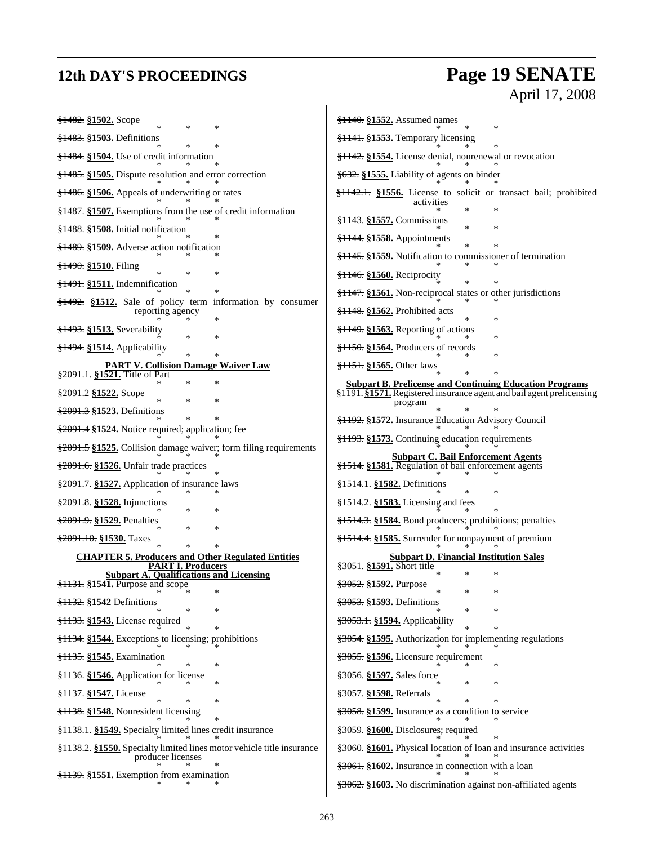## **12th DAY'S PROCEEDINGS Page 19 SENATE** April 17, 2008

| <del>§1482.</del> §1502. Scope<br>$\ast$<br>*                                         | $\frac{$1140}{1552}$ . Assumed names                                                                                                     |
|---------------------------------------------------------------------------------------|------------------------------------------------------------------------------------------------------------------------------------------|
| §1483. §1503. Definitions<br>*<br>*                                                   | §1141. §1553. Temporary licensing                                                                                                        |
| $\frac{$1484}{1000}$ S1504. Use of credit information                                 | <del>§1142.</del> §1554. License denial, nonrenewal or revocation                                                                        |
| $\frac{$1485}{1000}$ . Dispute resolution and error correction                        | §632. §1555. Liability of agents on binder                                                                                               |
| §1486. §1506. Appeals of underwriting or rates                                        | <del>§1142.1.</del> §1556. License to solicit or transact bail; prohibited                                                               |
| §1487. §1507. Exemptions from the use of credit information                           | activities                                                                                                                               |
| §1488. §1508. Initial notification                                                    | §1143. §1557. Commissions                                                                                                                |
| §1489. §1509. Adverse action notification                                             | §1144. §1558. Appointments                                                                                                               |
| <del>§1490.</del> §1510. Filing<br>×                                                  | <del>§1145.</del> §1559. Notification to commissioner of termination                                                                     |
| §1491. §1511. Indemnification                                                         | <del>§1146.</del> §1560. Reciprocity                                                                                                     |
| $\frac{$1492}{1000}$ $\frac{$1512}{1000}$ Sale of policy term information by consumer | $\frac{1147}{1147}$ . §1561. Non-reciprocal states or other jurisdictions                                                                |
| reporting agency                                                                      | §1148. §1562. Prohibited acts                                                                                                            |
| <del>§1493.</del> §1513. Severability                                                 | $\frac{$1149}{1000}$ . $\frac{$1563}{1000}$ . Reporting of actions<br>∗                                                                  |
| $\frac{1494}{1214}$ S1514. Applicability<br>$\ast$                                    | $\frac{150}{21150}$ . §1564. Producers of records                                                                                        |
| <b>PART V. Collision Damage Waiver Law</b><br>\$2091.1. §1521. Title of Part          | <del>§1151.</del> §1565. Other laws                                                                                                      |
| *<br><del>§2091.2</del> §1522. Scope                                                  | <b>Subpart B. Prelicense and Continuing Education Programs</b><br>\$1191. \$1571. Registered insurance agent and bail agent prelicensing |
| *<br>*<br>\$2091.3 §1523. Definitions                                                 | program                                                                                                                                  |
| \$2091.4 \$1524. Notice required; application; fee                                    | §1192. §1572. Insurance Education Advisory Council                                                                                       |
| \$2091.5 \$1525. Collision damage waiver; form filing requirements                    | §1193. §1573. Continuing education requirements                                                                                          |
| §2091.6. §1526. Unfair trade practices                                                | <b>Subpart C. Bail Enforcement Agents</b><br>§1514. §1581. Regulation of bail enforcement agents                                         |
| \$2091.7. \$1527. Application of insurance laws                                       | <del>§1514.1.</del> §1582. Definitions                                                                                                   |
| \$2091.8. \$1528. Injunctions                                                         | $\frac{$1514.2}{\\81583}$ . Licensing and fees                                                                                           |
| \$2091.9. \$1529. Penalties<br>*<br>×                                                 | §1514.3. §1584. Bond producers; prohibitions; penalties                                                                                  |
| §2091.10. §1530. Taxes<br>*                                                           | §1514.4. §1585. Surrender for nonpayment of premium                                                                                      |
| <b>CHAPTER 5. Producers and Other Regulated Entities</b><br><b>PART I. Producers</b>  | <b>Subpart D. Financial Institution Sales</b><br>\$3051. §1591. Short title                                                              |
| <b>Subpart A. Qualifications and Licensing</b><br>§1131. §1541. Purpose and scope     | $\ast$<br>∗<br>§3052. §1592. Purpose                                                                                                     |
| *<br>§1132. §1542 Definitions                                                         | $\ast$<br>∗<br>§3053. §1593. Definitions                                                                                                 |
| *<br>*<br>§1133. §1543. License required                                              | ∗<br>§3053.1. §1594. Applicability                                                                                                       |
| *<br>§1134. §1544. Exceptions to licensing; prohibitions                              | ∗<br>§3054. §1595. Authorization for implementing regulations                                                                            |
| §1135. §1545. Examination                                                             | §3055. §1596. Licensure requirement                                                                                                      |
| *<br>§1136. §1546. Application for license                                            | ∗<br>\$3056. §1597. Sales force                                                                                                          |
| *<br>§1137. §1547. License                                                            | ∗<br>\$3057. §1598. Referrals                                                                                                            |
| *<br>§1138. §1548. Nonresident licensing                                              | $\ast$<br>§3058. §1599. Insurance as a condition to service                                                                              |
| §1138.1. §1549. Specialty limited lines credit insurance                              | §3059. §1600. Disclosures; required                                                                                                      |
| \$1138.2. \$1550. Specialty limited lines motor vehicle title insurance               | \$3060. §1601. Physical location of loan and insurance activities                                                                        |
| producer licenses                                                                     | \$3061. \$1602. Insurance in connection with a loan                                                                                      |
| $\frac{1}{2}$ 139. §1551. Exemption from examination                                  | \$3062. §1603. No discrimination against non-affiliated agents                                                                           |
|                                                                                       |                                                                                                                                          |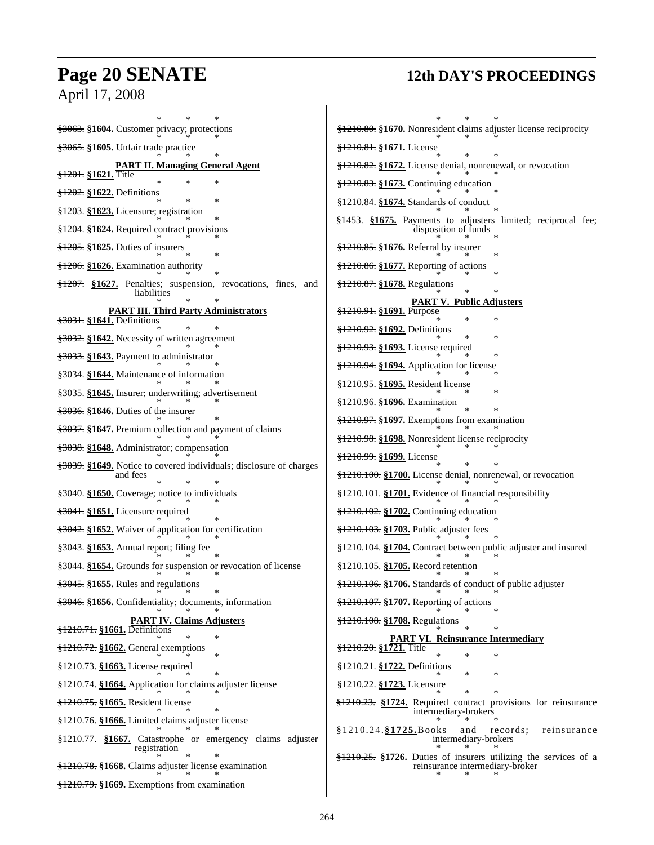# **Page 20 SENATE 12th DAY'S PROCEEDINGS**

## April 17, 2008

| §3063. §1604. Customer privacy; protections                                 | §1210.80. §1670. Nonresident claims adjuster license reciprocity                                   |
|-----------------------------------------------------------------------------|----------------------------------------------------------------------------------------------------|
| §3065. §1605. Unfair trade practice                                         | <del>§1210.81.</del> §1671. License                                                                |
| <b>PART II. Managing General Agent</b>                                      | §1210.82. §1672. License denial, nonrenewal, or revocation                                         |
| <del>§1201.</del> §1621. Title<br>∗                                         | §1210.83. §1673. Continuing education                                                              |
| $\frac{$1202}{100}$ \$1622. Definitions<br>$\ast$                           |                                                                                                    |
| §1203. §1623. Licensure; registration                                       | §1210.84. §1674. Standards of conduct                                                              |
| §1204. §1624. Required contract provisions                                  | §1453. §1675. Payments to adjusters limited; reciprocal fee;<br>disposition of funds               |
| $\frac{$1205}{1000}$ . \$1625. Duties of insurers                           | $\frac{$1210.85}{\\$ : $\$1676$ . Referral by insurer                                              |
| §1206. §1626. Examination authority                                         | $\frac{$1210.86}{1000}$ . $\frac{$1677}{1000}$ . Reporting of actions                              |
| §1207. §1627. Penalties; suspension, revocations, fines, and<br>liabilities | §1210.87. §1678. Regulations                                                                       |
| <b>PART III. Third Party Administrators</b>                                 | PART V. Public Adjusters<br><del>§1210.91.</del> §1691. Purpose                                    |
| §3031. §1641. Definitions                                                   |                                                                                                    |
| §3032. §1642. Necessity of written agreement                                | §1210.92. §1692. Definitions<br>∗                                                                  |
| §3033. §1643. Payment to administrator                                      | §1210.93. §1693. License required                                                                  |
| §3034. §1644. Maintenance of information                                    | \$1210.94. \$1694. Application for license                                                         |
| §3035. §1645. Insurer; underwriting; advertisement                          | §1210.95. §1695. Resident license                                                                  |
| $\frac{$3036}{81646}$ . Duties of the insurer                               | <del>§1210.96.</del> §1696. Examination                                                            |
| §3037. §1647. Premium collection and payment of claims                      | §1210.97. §1697. Exemptions from examination                                                       |
| §3038. §1648. Administrator; compensation                                   | §1210.98. §1698. Nonresident license reciprocity                                                   |
| \$3039. §1649. Notice to covered individuals; disclosure of charges         | <del>§1210.99.</del> §1699. License                                                                |
| and fees                                                                    | §1210.100. §1700. License denial, nonrenewal, or revocation                                        |
| §3040. §1650. Coverage; notice to individuals                               | §1210.101. §1701. Evidence of financial responsibility                                             |
| §3041. §1651. Licensure required                                            | §1210.102. §1702. Continuing education                                                             |
| §3042. §1652. Waiver of application for certification                       | §1210.103. §1703. Public adjuster fees                                                             |
| §3043. §1653. Annual report; filing fee                                     | \$1210.104. \$1704. Contract between public adjuster and insured                                   |
| §3044. §1654. Grounds for suspension or revocation of license               | §1210.105. §1705. Record retention<br>∗                                                            |
| §3045. §1655. Rules and regulations                                         | \$1210.106. \$1706. Standards of conduct of public adjuster                                        |
| §3046. §1656. Confidentiality; documents, information                       | §1210.107. §1707. Reporting of actions                                                             |
| <b>PART IV. Claims Adjusters</b><br>§1210.71. §1661. Definitions            | §1210.108. §1708. Regulations                                                                      |
| *<br>$\frac{$1210.72}{``}$ \\$1662. General exemptions                      | <b>PART VI. Reinsurance Intermediary</b><br>§1210.20. §1721. Title                                 |
| <del>§1210.73.</del> §1663. License required                                | §1210.21. §1722. Definitions                                                                       |
| \$1210.74. \$1664. Application for claims adjuster license                  | ∗<br><del>§1210.22.</del> §1723. Licensure                                                         |
| §1210.75. §1665. Resident license                                           | $\ast$<br><del>§1210.23.</del> §1724. Required contract provisions for reinsurance                 |
| §1210.76. §1666. Limited claims adjuster license                            | intermediary-brokers                                                                               |
| \$1210.77. \$1667. Catastrophe or emergency claims adjuster<br>registration | $\frac{$1210.24}{9}$ 1725. Books<br>records;<br>reinsurance<br>and<br>intermediary-brokers         |
| §1210.78. §1668. Claims adjuster license examination                        | §1210.25. §1726. Duties of insurers utilizing the services of a<br>reinsurance intermediary-broker |
| §1210.79. §1669. Exemptions from examination                                |                                                                                                    |
|                                                                             |                                                                                                    |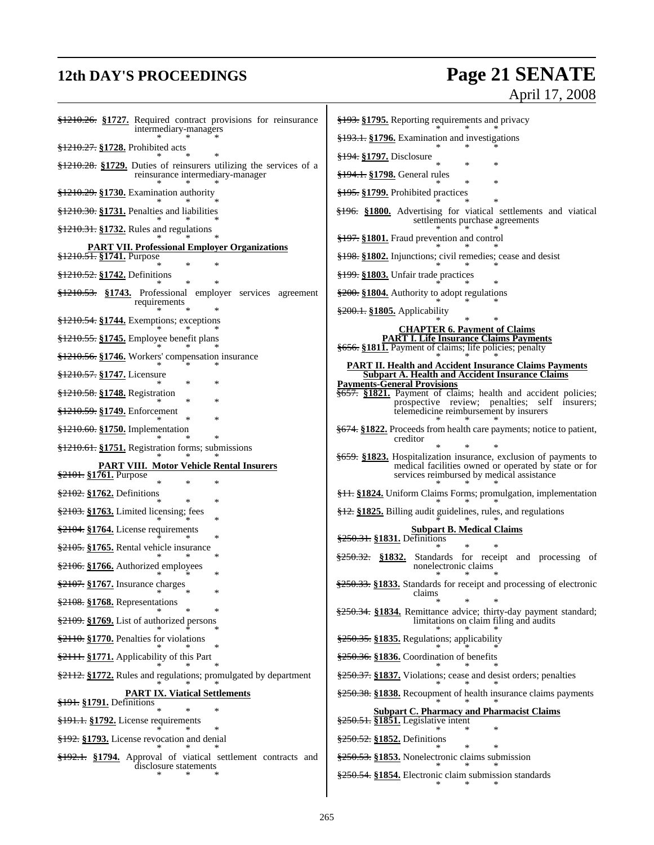## **12th DAY'S PROCEEDINGS Page 21 SENATE**

## April 17, 2008

| \$1210.26. \$1727. Required contract provisions for reinsurance<br>intermediary-managers                                                    | §193. §1795. Reporting requirements and privacy                                                                                                                       |
|---------------------------------------------------------------------------------------------------------------------------------------------|-----------------------------------------------------------------------------------------------------------------------------------------------------------------------|
|                                                                                                                                             | <del>§193.1.</del> §1796. Examination and investigations                                                                                                              |
| <del>§1210.27.</del> §1728. Prohibited acts                                                                                                 | §194. §1797. Disclosure                                                                                                                                               |
| $\frac{$1210.28}{1210.28}$ . $\frac{$1729}{1210.28}$ . Duties of reinsurers utilizing the services of a<br>reinsurance intermediary-manager | <del>§194.1.</del> §1798. General rules<br>$\ast$                                                                                                                     |
| $\frac{$1210.29}{1000}$ : \\$1730. Examination authority                                                                                    | §195. §1799. Prohibited practices                                                                                                                                     |
| §1210.30. §1731. Penalties and liabilities                                                                                                  | \$196. \$1800. Advertising for viatical settlements and viatical<br>settlements purchase agreements                                                                   |
| $\frac{$1210.31}{\\$ : \\$1732. Rules and regulations                                                                                       | §197. §1801. Fraud prevention and control                                                                                                                             |
| <b>PART VII. Professional Employer Organizations</b><br><del>§1210.51.</del> §1741. Purpose                                                 | §198. §1802. Injunctions; civil remedies; cease and desist                                                                                                            |
| $\ast$<br>§1210.52. §1742. Definitions                                                                                                      | §199. §1803. Unfair trade practices                                                                                                                                   |
| \$1210.53. \$1743. Professional employer services agreement                                                                                 | $\frac{200}{200}$ . §1804. Authority to adopt regulations                                                                                                             |
| requirements                                                                                                                                | §200.1. §1805. Applicability                                                                                                                                          |
| $\frac{1210.54}{1210.54}$ . $\frac{1744}{1210}$ . Exemptions; exceptions                                                                    | <b>CHAPTER 6. Payment of Claims</b>                                                                                                                                   |
| §1210.55. §1745. Employee benefit plans                                                                                                     | <b>PART I. Life Insurance Claims Payments</b><br>§656. §1811. Payment of claims; life policies; penalty                                                               |
| <del>§1210.56.</del> §1746. Workers' compensation insurance                                                                                 | <b>PART II. Health and Accident Insurance Claims Payments</b>                                                                                                         |
| §1210.57. §1747. Licensure<br>∗                                                                                                             | <b>Subpart A. Health and Accident Insurance Claims</b><br><b>Payments-General Provisions</b>                                                                          |
| §1210.58. §1748. Registration<br>*<br>*                                                                                                     | \$657. §1821. Payment of claims; health and accident policies;                                                                                                        |
| §1210.59. §1749. Enforcement<br>∗                                                                                                           | prospective review; penalties; self insurers;<br>telemedicine reimbursement by insurers                                                                               |
| §1210.60. §1750. Implementation                                                                                                             | <del>§674.</del> §1822. Proceeds from health care payments; notice to patient,<br>creditor                                                                            |
| §1210.61. §1751. Registration forms; submissions                                                                                            |                                                                                                                                                                       |
| <b>PART VIII. Motor Vehicle Rental Insurers</b><br>\$2101. §1761. Purpose<br>*                                                              | §659. §1823. Hospitalization insurance, exclusion of payments to<br>medical facilities owned or operated by state or for<br>services reimbursed by medical assistance |
| $\frac{2102}{250}$ \$1762. Definitions<br>$\ast$                                                                                            | <del>§11.</del> §1824. Uniform Claims Forms; promulgation, implementation                                                                                             |
| $\frac{2103}{2103}$ . S1763. Limited licensing; fees<br>*                                                                                   | $\frac{$12}{9}$ . $\frac{$1825}{9}$ . Billing audit guidelines, rules, and regulations                                                                                |
| §2104. §1764. License requirements<br>*                                                                                                     | <b>Subpart B. Medical Claims</b><br>\$250.31. §1831. Definitions                                                                                                      |
| \$2105. §1765. Rental vehicle insurance<br>∗                                                                                                |                                                                                                                                                                       |
| $\frac{2106}{22106}$ . $1766$ . Authorized employees<br>∗                                                                                   | $\frac{$250.32}{8250.32}$ . Standards for receipt and processing of<br>nonelectronic claims                                                                           |
| $\frac{2107}{2107}$ . Insurance charges<br>*                                                                                                | \$250.33. §1833. Standards for receipt and processing of electronic<br>claims                                                                                         |
| §2108. §1768. Representations                                                                                                               | ∗<br>∗<br>∗<br>\$250.34. §1834. Remittance advice; thirty-day payment standard;                                                                                       |
| §2109. §1769. List of authorized persons                                                                                                    | limitations on claim filing and audits                                                                                                                                |
| §2110. §1770. Penalties for violations                                                                                                      | §250.35. §1835. Regulations; applicability                                                                                                                            |
| §2111. §1771. Applicability of this Part                                                                                                    | $\frac{250.36}{250.36}$ . S1836. Coordination of benefits                                                                                                             |
| \$2112. §1772. Rules and regulations; promulgated by department                                                                             | \$250.37. \$1837. Violations; cease and desist orders; penalties                                                                                                      |
| <b>PART IX. Viatical Settlements</b><br><del>§191.</del> §1791. Definitions                                                                 | \$250.38. §1838. Recoupment of health insurance claims payments                                                                                                       |
| §191.1. §1792. License requirements                                                                                                         | <b>Subpart C. Pharmacy and Pharmacist Claims</b><br>\$250.51. \$1851. Legislative intent                                                                              |
| <del>§192.</del> §1793. License revocation and denial                                                                                       | *<br>§250.52. §1852. Definitions                                                                                                                                      |
| §192.1. §1794. Approval of viatical settlement contracts and                                                                                | §250.53. §1853. Nonelectronic claims submission                                                                                                                       |
| disclosure statements                                                                                                                       |                                                                                                                                                                       |
|                                                                                                                                             | §250.54. §1854. Electronic claim submission standards                                                                                                                 |
|                                                                                                                                             |                                                                                                                                                                       |

 $\mathsf{l}$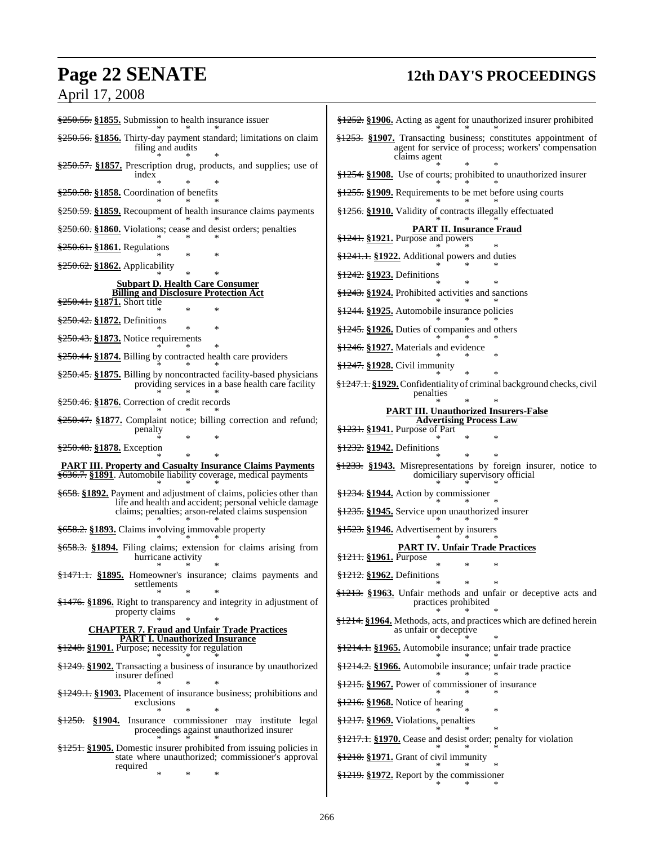## April 17, 2008

## **Page 22 SENATE 12th DAY'S PROCEEDINGS**

§250.55. **§1855.** Submission to health insurance issuer \* \* \* §250.56. **§1856.** Thirty-day payment standard; limitations on claim filing and audits \* \* \* §250.57. **§1857.** Prescription drug, products, and supplies; use of index \* \* \* §250.58. **§1858.** Coordination of benefits \* \* \* §250.59. **§1859.** Recoupment of health insurance claims payments \* \* \* §250.60. **§1860.** Violations; cease and desist orders; penalties \* \* \* §250.61. **§1861.** Regulations \* \* \* §250.62. **§1862.** Applicability \* \* \* **Subpart D. Health Care Consumer Billing and Disclosure Protection Act** §250.41. **§1871.** Short title \* \* \* §250.42. **§1872.** Definitions \* \* \* §250.43. **§1873.** Notice requirements \* \* \* §250.44. **§1874.** Billing by contracted health care providers \* \* \* §250.45. **§1875.** Billing by noncontracted facility-based physicians providing services in a base health care facility \* \* \* §250.46. **§1876.** Correction of credit records \* \* \* §250.47. **§1877.** Complaint notice; billing correction and refund; penalty \* \* \* §250.48. **§1878.** Exception \* \* \* **PART III. Property and Casualty Insurance Claims Payments** §636.7. **§1891**. Automobile liability coverage, medical payments \* \* \* §658. **§1892.** Payment and adjustment of claims, policies other than life and health and accident; personal vehicle damage claims; penalties; arson-related claims suspension \* \* \* §658.2. **§1893.** Claims involving immovable property \* \* \* §658.3. **§1894.** Filing claims; extension for claims arising from hurricane activity \* \* \* §1471.1. **§1895.** Homeowner's insurance; claims payments and settlements \* \* \* §1476. **§1896.** Right to transparency and integrity in adjustment of property claims \* \* \* **CHAPTER 7. Fraud and Unfair Trade Practices PART I. Unauthorized Insurance** §1248. **§1901.** Purpose; necessity for regulation \* \* \* §1249. **§1902.** Transacting a business of insurance by unauthorized insurer defined \* \* \* §1249.1. **§1903.** Placement of insurance business; prohibitions and exclusions \* \* \* §1250. **§1904.** Insurance commissioner may institute legal proceedings against unauthorized insurer \* \* \* §1251. **§1905.** Domestic insurer prohibited from issuing policies in state where unauthorized; commissioner's approval required \* \* \* §1252. **§1906.** Acting as agent for unauthorized insurer prohibited \* \* \* §1253. **§1907.** Transacting business; constitutes appointment of agent for service of process; workers' compensation claims agent \* \* \* §1254. **§1908.** Use of courts; prohibited to unauthorized insurer \* \* \* §1255. **§1909.** Requirements to be met before using courts \* \* \* §1256. **§1910.** Validity of contracts illegally effectuated \* \* \* **PART II. Insurance Fraud** §1241. **§1921.** Purpose and powers \* \* \* §1241.1. **§1922.** Additional powers and duties \* \* \* §1242. **§1923.** Definitions \* \* \* §1243. **§1924.** Prohibited activities and sanctions \* \* \* §1244. **§1925.** Automobile insurance policies \* \* \* §1245. **§1926.** Duties of companies and others \* \* \* §1246. **§1927.** Materials and evidence \* \* \* §1247. **§1928.** Civil immunity \* \* \* §1247.1. **§1929.**Confidentiality of criminal background checks, civil penalties \* \* \* **PART III. Unauthorized Insurers-False Advertising Process Law** §1231. **§1941.** Purpose of Part \* \* \* §1232. **§1942.** Definitions \* \* \* §1233. **§1943.** Misrepresentations by foreign insurer, notice to domiciliary supervisory official \* \* \* §1234. **§1944.** Action by commissioner \* \* \* §1235. **§1945.** Service upon unauthorized insurer \* \* \* §1523. **§1946.** Advertisement by insurers \* \* \* **PART IV. Unfair Trade Practices** §1211. **§1961.** Purpose \* \* \* §1212. **§1962.** Definitions \* \* \* §1213. **§1963.** Unfair methods and unfair or deceptive acts and practices prohibited \* \* \* §1214. **§1964.** Methods, acts, and practices which are defined herein as unfair or deceptive \* \* \* §1214.1. **§1965.** Automobile insurance; unfair trade practice \* \* \* §1214.2. **§1966.** Automobile insurance; unfair trade practice \* \* \* §1215. **§1967.** Power of commissioner of insurance \* \* \* §1216. **§1968.** Notice of hearing \* \* \* §1217. **§1969.** Violations, penalties \* \* \* §1217.1. **§1970.** Cease and desist order; penalty for violation \* \* \* §1218. **§1971.** Grant of civil immunity \* \* \* §1219. **§1972.** Report by the commissioner \* \* \*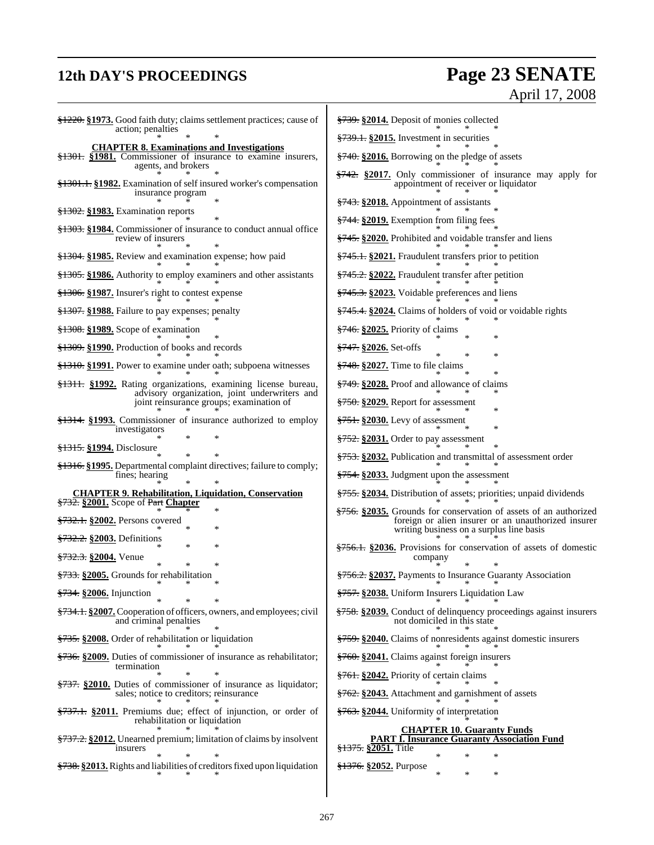## **12th DAY'S PROCEEDINGS Page 23 SENATE** April 17, 2008

| \$1220. \$1973. Good faith duty; claims settlement practices; cause of<br>action; penalties                               | §739. §2014. Deposit of monies collected                                                                       |  |  |
|---------------------------------------------------------------------------------------------------------------------------|----------------------------------------------------------------------------------------------------------------|--|--|
| <b>CHAPTER 8. Examinations and Investigations</b>                                                                         | $\frac{$739.1}{82015}$ . Investment in securities                                                              |  |  |
| §1301. §1981. Commissioner of insurance to examine insurers,<br>agents, and brokers                                       | §740. §2016. Borrowing on the pledge of assets                                                                 |  |  |
| §1301.1. §1982. Examination of self insured worker's compensation<br>insurance program                                    | $\frac{$742}{8}$ \$2017. Only commissioner of insurance may apply for<br>appointment of receiver or liquidator |  |  |
|                                                                                                                           | §743. §2018. Appointment of assistants                                                                         |  |  |
| <del>§1302.</del> §1983. Examination reports                                                                              | §744. §2019. Exemption from filing fees                                                                        |  |  |
| §1303. §1984. Commissioner of insurance to conduct annual office<br>review of insurers                                    | §745. §2020. Prohibited and voidable transfer and liens                                                        |  |  |
| <del>§1304.</del> §1985. Review and examination expense; how paid                                                         | <del>§745.1.</del> §2021. Fraudulent transfers prior to petition                                               |  |  |
| <del>§1305.</del> §1986. Authority to employ examiners and other assistants                                               | §745.2. §2022. Fraudulent transfer after petition                                                              |  |  |
| §1306. §1987. Insurer's right to contest expense                                                                          | §745.3. §2023. Voidable preferences and liens                                                                  |  |  |
| §1307. §1988. Failure to pay expenses; penalty                                                                            | <del>§745.4.</del> §2024. Claims of holders of void or voidable rights                                         |  |  |
| <del>§1308.</del> §1989. Scope of examination                                                                             | $\frac{$746}{92025}$ . Priority of claims<br>∗                                                                 |  |  |
| <del>§1309.</del> §1990. Production of books and records                                                                  | §747. §2026. Set-offs<br>$\ast$<br>*                                                                           |  |  |
| \$1310. \$1991. Power to examine under oath; subpoena witnesses                                                           | $\frac{12748}{12748}$ \$2027. Time to file claims                                                              |  |  |
| <del>§1311.</del> §1992. Rating organizations, examining license bureau,<br>advisory organization, joint underwriters and | <del>§749.</del> §2028. Proof and allowance of claims                                                          |  |  |
| joint reinsurance groups; examination of                                                                                  | §750. §2029. Report for assessment<br>*                                                                        |  |  |
| $\frac{$1314}{1314}$ . $\frac{$1993}{1314}$ . Commissioner of insurance authorized to employ                              | $\frac{2751}{2751}$ \$2030. Levy of assessment                                                                 |  |  |
| investigators                                                                                                             | *<br>$\frac{2752}{3752}$ \$2031. Order to pay assessment                                                       |  |  |
| <del>§1315.</del> §1994. Disclosure                                                                                       | §753. §2032. Publication and transmittal of assessment order                                                   |  |  |
| \$1316. §1995. Departmental complaint directives; failure to comply;<br>fines; hearing                                    | §754. §2033. Judgment upon the assessment                                                                      |  |  |
| <b>CHAPTER 9. Rehabilitation, Liquidation, Conservation</b>                                                               | §755. §2034. Distribution of assets; priorities; unpaid dividends                                              |  |  |
| §732. §2001. Scope of Part Chapter<br>*                                                                                   | \$756. \$2035. Grounds for conservation of assets of an authorized                                             |  |  |
| <del>§732.1.</del> §2002. Persons covered<br>∗                                                                            | foreign or alien insurer or an unauthorized insurer<br>writing business on a surplus line basis                |  |  |
| <del>§732.2.</del> §2003. Definitions<br>*<br>$\ast$                                                                      | §756.1. §2036. Provisions for conservation of assets of domestic                                               |  |  |
| <del>§732.3.</del> §2004. Venue<br>*                                                                                      | company                                                                                                        |  |  |
| \$733. \$2005. Grounds for rehabilitation                                                                                 | <del>§756.2.</del> §2037. Payments to Insurance Guaranty Association                                           |  |  |
| §734. §2006. Injunction<br>*                                                                                              | §757. §2038. Uniform Insurers Liquidation Law                                                                  |  |  |
| \$734.1. \$2007. Cooperation of officers, owners, and employees; civil<br>and criminal penalties                          | \$758. \$2039. Conduct of delinquency proceedings against insurers<br>not domiciled in this state              |  |  |
| <del>§735.</del> §2008. Order of rehabilitation or liquidation                                                            | <del>§759.</del> §2040. Claims of nonresidents against domestic insurers                                       |  |  |
| \$736. \$2009. Duties of commissioner of insurance as rehabilitator;                                                      | §760. §2041. Claims against foreign insurers                                                                   |  |  |
| termination                                                                                                               | §761. §2042. Priority of certain claims                                                                        |  |  |
| \$737. \$2010. Duties of commissioner of insurance as liquidator;<br>sales; notice to creditors; reinsurance              | <del>§762.</del> §2043. Attachment and garnishment of assets                                                   |  |  |
| §737.1. §2011. Premiums due; effect of injunction, or order of<br>rehabilitation or liquidation                           | §763. §2044. Uniformity of interpretation                                                                      |  |  |
| \$737.2. \$2012. Unearned premium; limitation of claims by insolvent<br>insurers                                          | <b>CHAPTER 10. Guaranty Funds</b><br><b>PART I. Insurance Guaranty Association Fund</b><br>§1375. §2051. Title |  |  |
| $\ast$<br>\$738. \$2013. Rights and liabilities of creditors fixed upon liquidation                                       | *<br>*<br>$\ast$<br><del>§1376.</del> §2052. Purpose                                                           |  |  |
|                                                                                                                           | $\ast$<br>$\ast$<br>$\ast$                                                                                     |  |  |
|                                                                                                                           |                                                                                                                |  |  |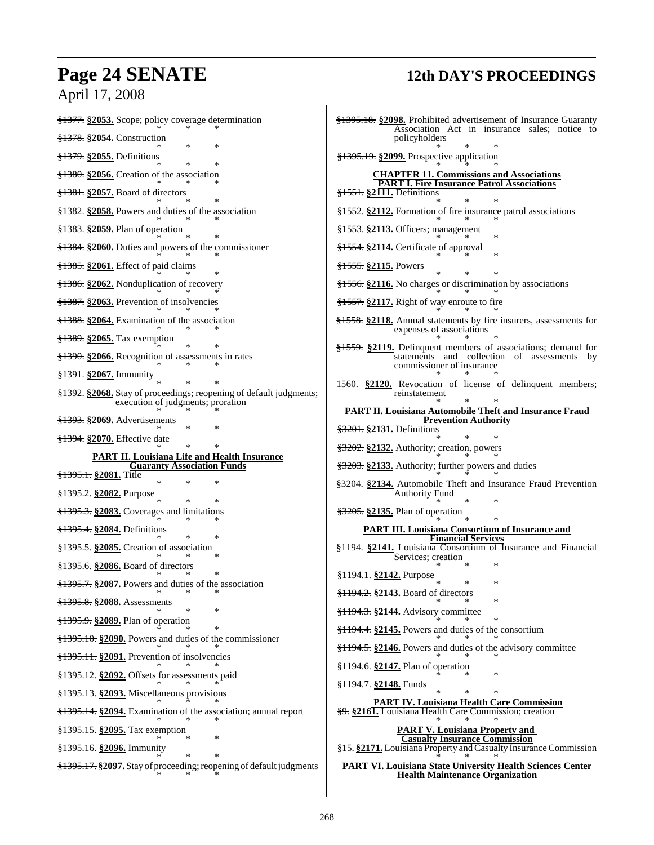## **Page 24 SENATE 12th DAY'S PROCEEDINGS**

## April 17, 2008

| §1377. §2053. Scope; policy coverage determination                                                        | \$1395.18. \$2098. Prohibited advertisement of Insurance Guaranty<br>Association Act in insurance sales; notice to                         |
|-----------------------------------------------------------------------------------------------------------|--------------------------------------------------------------------------------------------------------------------------------------------|
| §1378. §2054. Construction<br>$\ast$                                                                      | policyholders                                                                                                                              |
| $\frac{1279}{1279}$ . §2055. Definitions<br>$\ast$                                                        | $\frac{1295.19}{12095.19}$ \$2099. Prospective application                                                                                 |
| $\frac{1380}{13300}$ . \$2056. Creation of the association                                                | <b>CHAPTER 11. Commissions and Associations</b><br><b>PART I. Fire Insurance Patrol Associations</b><br>\$1551. \$2111. Definitions        |
|                                                                                                           |                                                                                                                                            |
| $\frac{$1382}{1000}$ \$2058. Powers and duties of the association                                         | §1552. §2112. Formation of fire insurance patrol associations                                                                              |
| $\frac{1283}{1283}$ \$2059. Plan of operation                                                             | $\frac{1553}{1553}$ \\$2113. Officers; management                                                                                          |
| $\frac{$1384}{1284}$ . \$2060. Duties and powers of the commissioner                                      | §1554. §2114. Certificate of approval                                                                                                      |
| $\frac{1285}{1285}$ §2061. Effect of paid claims                                                          | §1555. §2115. Powers                                                                                                                       |
| §1386. §2062. Nonduplication of recovery                                                                  | §1556. §2116. No charges or discrimination by associations                                                                                 |
| $\frac{$1387}{10000}$ . Prevention of insolvencies                                                        | $\frac{1557}{1000}$ \$1557. §2117. Right of way enroute to fire                                                                            |
| §1388. §2064. Examination of the association                                                              | §1558. §2118. Annual statements by fire insurers, assessments for<br>expenses of associations                                              |
| $\frac{$1389}{1000}$ . \$2065. Tax exemption                                                              |                                                                                                                                            |
| $\frac{$1390}{1000}$ . $\frac{$2066}{10000}$ . Recognition of assessments in rates                        | \$1559. \$2119. Delinquent members of associations; demand for<br>statements and collection of assessments by<br>commissioner of insurance |
| <del>§1391.</del> §2067. Immunity                                                                         | 1560. §2120. Revocation of license of delinquent members;                                                                                  |
| \$1392. \$2068. Stay of proceedings; reopening of default judgments;<br>execution of judgments; proration | reinstatement                                                                                                                              |
| $\frac{1293}{1293}$ \$2069. Advertisements                                                                | <b>PART II. Louisiana Automobile Theft and Insurance Fraud</b><br><b>Prevention Authority</b>                                              |
| <del>§1394.</del> §2070. Effective date                                                                   | §3201. §2131. Definitions                                                                                                                  |
| $\ast$                                                                                                    | $\frac{23202}{25202}$ . $\frac{2132}{25202}$ . Authority; creation, powers                                                                 |
| <b>PART II. Louisiana Life and Health Insurance</b><br><b>Guaranty Association Funds</b>                  | §3203. §2133. Authority; further powers and duties                                                                                         |
| §1395.1. §2081. Title<br>*                                                                                | \$3204. \$2134. Automobile Theft and Insurance Fraud Prevention                                                                            |
| <del>§1395.2.</del> §2082. Purpose                                                                        | <b>Authority Fund</b>                                                                                                                      |
| $\frac{1295.3}{1000}$ \$1395.3. S2083. Coverages and limitations                                          | \$3205. \$2135. Plan of operation                                                                                                          |
| \$1395.4. \$2084. Definitions<br>$\ast$                                                                   | <b>PART III. Louisiana Consortium of Insurance and</b><br><b>Financial Services</b>                                                        |
| $\frac{$1395.5}{\\82085}$ . Creation of association                                                       | §1194. §2141. Louisiana Consortium of Insurance and Financial<br>Services; creation                                                        |
| \$1395.6. \$2086. Board of directors                                                                      | <del>§1194.1.</del> §2142. Purpose                                                                                                         |
| §1395.7. §2087. Powers and duties of the association<br>∗<br>∗                                            | *<br>∗<br>§1194.2. §2143. Board of directors                                                                                               |
| §1395.8. §2088. Assessments                                                                               | ∗                                                                                                                                          |
| \$1395.9. \$2089. Plan of operation                                                                       | $\frac{1194.3}{1194.3}$ \$2144. Advisory committee<br>§1194.4. §2145. Powers and duties of the consortium                                  |
| \$1395.10. \$2090. Powers and duties of the commissioner                                                  |                                                                                                                                            |
| §1395.11. §2091. Prevention of insolvencies                                                               | §1194.5. §2146. Powers and duties of the advisory committee                                                                                |
| §1395.12. §2092. Offsets for assessments paid                                                             | §1194.6. §2147. Plan of operation                                                                                                          |
| $\frac{$1395.13}{\\$ $\frac{$2093.}{\\math}$ Miscellaneous provisions                                     | §1194.7. §2148. Funds                                                                                                                      |
| \$1395.14. \$2094. Examination of the association; annual report                                          | <b>PART IV. Louisiana Health Care Commission</b><br>§9. §2161. Louisiana Health Care Commission; creation                                  |
| \$1395.15. \$2095. Tax exemption                                                                          | <b>PART V. Louisiana Property and</b>                                                                                                      |
| §1395.16. §2096. Immunity                                                                                 | <b>Casualty Insurance Commission</b><br>§15. §2171. Louisiana Property and Casualty Insurance Commission                                   |
| \$1395.17. \$2097. Stay of proceeding; reopening of default judgments                                     | <b>PART VI. Louisiana State University Health Sciences Center</b><br><b>Health Maintenance Organization</b>                                |

Ŧ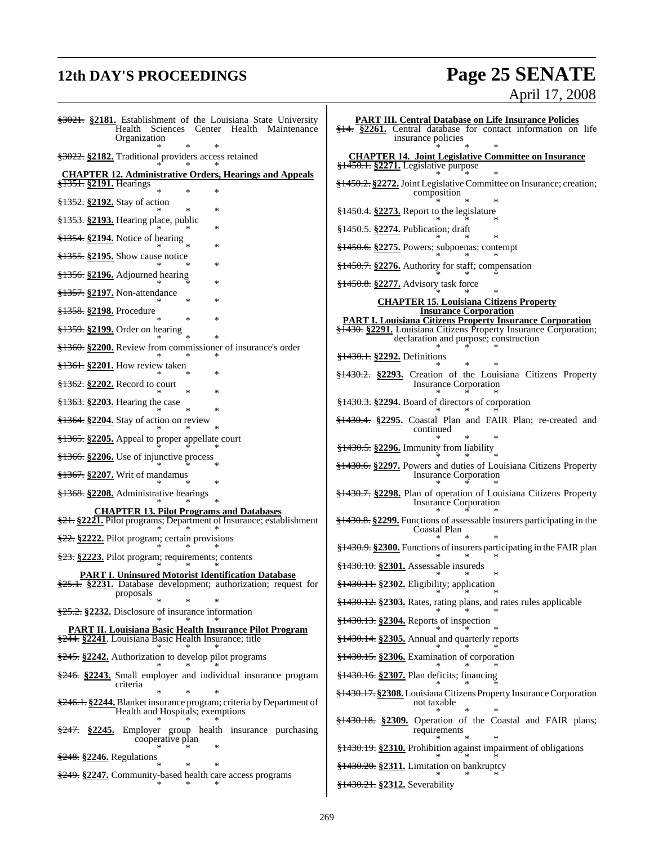## **12th DAY'S PROCEEDINGS Page 25 SENATE** April 17, 2008

| \$3021. \$2181. Establishment of the Louisiana State University<br>Health Sciences Center Health Maintenance<br>Organization              | <b>PART III. Central Database on Life Insurance Policies</b><br>$\frac{$14}{914}$ . $\frac{$2261}{92261}$ . Central database for contact information on life<br>insurance policies |  |  |
|-------------------------------------------------------------------------------------------------------------------------------------------|------------------------------------------------------------------------------------------------------------------------------------------------------------------------------------|--|--|
| §3022. §2182. Traditional providers access retained                                                                                       | <b>CHAPTER 14. Joint Legislative Committee on Insurance</b><br>§1450.1. §2271. Legislative purpose                                                                                 |  |  |
| <b>CHAPTER 12. Administrative Orders, Hearings and Appeals</b><br>§1351. §2191. Hearings<br>*                                             | §1450.2. §2272. Joint Legislative Committee on Insurance; creation;                                                                                                                |  |  |
| §1352. §2192. Stay of action<br>*                                                                                                         | composition<br>$\frac{$1450.4}{\\}$ \$2273. Report to the legislature                                                                                                              |  |  |
| §1353. §2193. Hearing place, public<br>*                                                                                                  |                                                                                                                                                                                    |  |  |
| $\frac{$1354}{1354}$ . $\frac{$2194}{1364}$ . Notice of hearing<br>×                                                                      | §1450.5. §2274. Publication; draft                                                                                                                                                 |  |  |
| $\frac{1255}{1255}$ . \$2195. Show cause notice                                                                                           | §1450.6. §2275. Powers; subpoenas; contempt                                                                                                                                        |  |  |
| §1356. §2196. Adjourned hearing                                                                                                           | $\frac{150.7}{220.06}$ Authority for staff; compensation                                                                                                                           |  |  |
| §1357. §2197. Non-attendance                                                                                                              | §1450.8. §2277. Advisory task force                                                                                                                                                |  |  |
| ×<br><del>§1358.</del> §2198. Procedure                                                                                                   | <b>CHAPTER 15. Louisiana Citizens Property</b><br><b>Insurance Corporation</b>                                                                                                     |  |  |
| 冰<br>\$1359. \$2199. Order on hearing                                                                                                     | <b>PART I. Louisiana Citizens Property Insurance Corporation</b><br>§1430. §2291. Louisiana Citizens Property Insurance Corporation;<br>declaration and purpose; construction      |  |  |
| §1360. §2200. Review from commissioner of insurance's order                                                                               | <del>§1430.1.</del> §2292. Definitions                                                                                                                                             |  |  |
| §1361. §2201. How review taken                                                                                                            | §1430.2. §2293. Creation of the Louisiana Citizens Property                                                                                                                        |  |  |
|                                                                                                                                           | <b>Insurance Corporation</b>                                                                                                                                                       |  |  |
| $\frac{1263}{1263}$ \$2203. Hearing the case<br>$\ast$                                                                                    | §1430.3. §2294. Board of directors of corporation                                                                                                                                  |  |  |
| §1364. §2204. Stay of action on review                                                                                                    | §1430.4. §2295. Coastal Plan and FAIR Plan; re-created and<br>continued                                                                                                            |  |  |
| \$1365. \$2205. Appeal to proper appellate court                                                                                          | \$1430.5. \$2296. Immunity from liability                                                                                                                                          |  |  |
| $\frac{$1366}{1206}$ . 2206. Use of injunctive process                                                                                    | <del>§1430.6.</del> §2297. Powers and duties of Louisiana Citizens Property                                                                                                        |  |  |
| $\frac{1267}{1207}$ . Writ of mandamus                                                                                                    | <b>Insurance Corporation</b>                                                                                                                                                       |  |  |
| <del>§1368.</del> §2208. Administrative hearings                                                                                          | §1430.7. §2298. Plan of operation of Louisiana Citizens Property<br>Insurance Corporation                                                                                          |  |  |
| <b>CHAPTER 13. Pilot Programs and Databases</b><br>§21. §2221. Pilot programs; Department of Insurance; establishment                     | §1430.8. §2299. Functions of assessable insurers participating in the<br>Coastal Plan                                                                                              |  |  |
| \$22. \$2222. Pilot program; certain provisions                                                                                           | \$1430.9. \$2300. Functions of insurers participating in the FAIR plan                                                                                                             |  |  |
| $\frac{23}{23}$ . §2223. Pilot program; requirements; contents                                                                            | §1430.10. §2301. Assessable insureds                                                                                                                                               |  |  |
| <b>PART I. Uninsured Motorist Identification Database</b><br>$\frac{25.1}{25.1}$ . 2231. Database development; authorization; request for | §1430.11. §2302. Eligibility; application                                                                                                                                          |  |  |
| proposals                                                                                                                                 | §1430.12. §2303. Rates, rating plans, and rates rules applicable                                                                                                                   |  |  |
| §25.2. §2232. Disclosure of insurance information                                                                                         | §1430.13. §2304. Reports of inspection                                                                                                                                             |  |  |
| <b>PART II. Louisiana Basic Health Insurance Pilot Program</b><br>\$244. \$2241. Louisiana Basic Health Insurance; title                  | §1430.14. §2305. Annual and quarterly reports                                                                                                                                      |  |  |
| $\frac{245}{245}$ \$2242. Authorization to develop pilot programs                                                                         | $\frac{$1430.15}{\\$ . $\frac{$2306}{\\math>.}$ Examination of corporation                                                                                                         |  |  |
| $\frac{246}{246}$ \$2243. Small employer and individual insurance program                                                                 | §1430.16. §2307. Plan deficits; financing                                                                                                                                          |  |  |
| criteria                                                                                                                                  | §1430.17. §2308. Louisiana Citizens Property Insurance Corporation                                                                                                                 |  |  |
| §246.1. §2244. Blanket insurance program; criteria by Department of<br>Health and Hospitals; exemptions                                   | not taxable                                                                                                                                                                        |  |  |
| §247. §2245. Employer group health insurance purchasing<br>cooperative plan                                                               | \$1430.18. \$2309. Operation of the Coastal and FAIR plans;<br>requirements                                                                                                        |  |  |
| §248. §2246. Regulations                                                                                                                  | \$1430.19. \$2310. Prohibition against impairment of obligations                                                                                                                   |  |  |
| ∗<br>\$249. §2247. Community-based health care access programs                                                                            | $\frac{$1430.20}{}$ : $\frac{$2311}{}$ . Limitation on bankruptcy                                                                                                                  |  |  |
|                                                                                                                                           | <del>§1430.21.</del> §2312. Severability                                                                                                                                           |  |  |
|                                                                                                                                           |                                                                                                                                                                                    |  |  |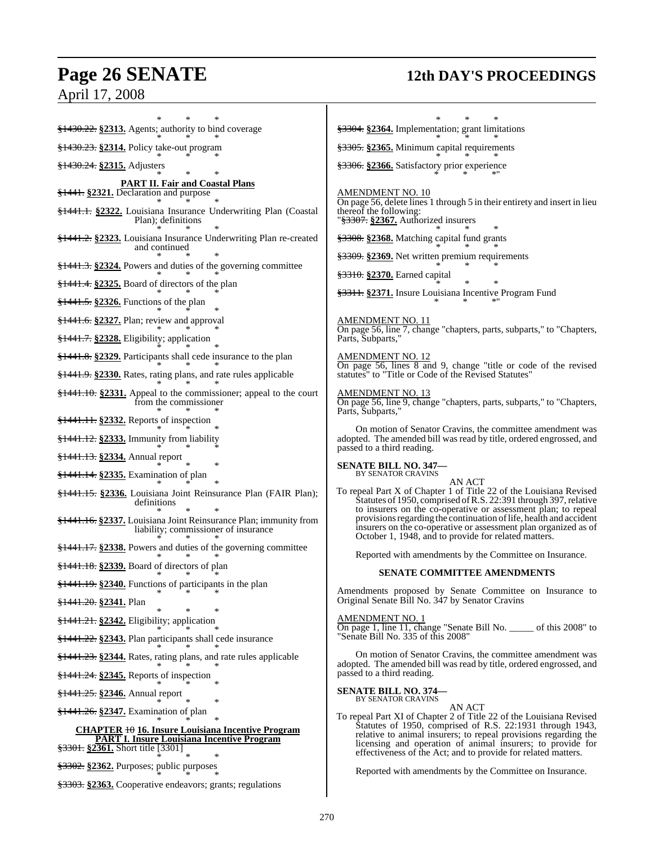## **Page 26 SENATE 12th DAY'S PROCEEDINGS**

April 17, 2008

\* \* \* §1430.22. **§2313.** Agents; authority to bind coverage \* \* \* §1430.23. **§2314.** Policy take-out program \* \* \* §1430.24. **§2315.** Adjusters \* \* \* **PART II. Fair and Coastal Plans** §1441. **§2321.** Declaration and purpose \* \* \* §1441.1. **§2322.** Louisiana Insurance Underwriting Plan (Coastal Plan); definitions \* \* \* §1441.2. **§2323.** Louisiana Insurance Underwriting Plan re-created and continued \* \* \* §1441.3. **§2324.** Powers and duties of the governing committee \* \* \* §1441.4. **§2325.** Board of directors of the plan \* \* \* §1441.5. **§2326.** Functions of the plan \* \* \* §1441.6. **§2327.** Plan; review and approval \* \* \* §1441.7. **§2328.** Eligibility; application \* \* \* §1441.8. **§2329.** Participants shall cede insurance to the plan \* \* \* §1441.9. **§2330.** Rates, rating plans, and rate rules applicable \* \* \* §1441.10. **§2331.** Appeal to the commissioner; appeal to the court from the commissioner \* \* \* §1441.11. **§2332.** Reports of inspection \* \* \* §1441.12. **§2333.** Immunity from liability \* \* \* §1441.13. **§2334.** Annual report \* \* \* §1441.14. **§2335.** Examination of plan \* \* \* §1441.15. **§2336.** Louisiana Joint Reinsurance Plan (FAIR Plan); definitions \* \* \* §1441.16. **§2337.** Louisiana Joint Reinsurance Plan; immunity from liability; commissioner of insurance \* \* \* §1441.17. **§2338.** Powers and duties of the governing committee \* \* \* §1441.18. **§2339.** Board of directors of plan \* \* \* §1441.19. **§2340.** Functions of participants in the plan \* \* \* §1441.20. **§2341.** Plan \* \* \* §1441.21. **§2342.** Eligibility; application \* \* \* §1441.22. **§2343.** Plan participants shall cede insurance \* \* \* §1441.23. **§2344.** Rates, rating plans, and rate rules applicable \* \* \* §1441.24. **§2345.** Reports of inspection \* \* \* §1441.25. **§2346.** Annual report \* \* \* §1441.26. **§2347.** Examination of plan \* \* \* **CHAPTER** 10 **16. Insure Louisiana Incentive Program PART I. Insure Louisiana Incentive Program** §3301. **§2361.** Short title [3301] \* \* \* §3302. **§2362.** Purposes; public purposes \* \* \* §3303. **§2363.** Cooperative endeavors; grants; regulations \* \* \* §3304. **§2364.** Implementation; grant limitations \* \* \* §3305. **§2365.** Minimum capital requirements \* \* \* §3306. **§2366.** Satisfactory prior experience  $*$   $*$   $*$   $*$  " AMENDMENT NO. 10 On page 56, delete lines 1 through 5 in their entirety and insert in lieu thereof the following: "§3307. **§2367.** Authorized insurers \* \* \* §3308. **§2368.** Matching capital fund grants \* \* \* §3309. **§2369.** Net written premium requirements \* \* \* §3310. **§2370.** Earned capital \* \* \* §3311. **§2371.** Insure Louisiana Incentive Program Fund \* \* \*" AMENDMENT NO. 11 On page 56, line 7, change "chapters, parts, subparts," to "Chapters, Parts, Subparts," AMENDMENT NO. 12 On page 56, lines 8 and 9, change "title or code of the revised statutes" to "Title or Code of the Revised Statutes" <u>AMENDMENT NO. 13</u> On page 56, line 9, change "chapters, parts, subparts," to "Chapters, Parts, Subparts," On motion of Senator Cravins, the committee amendment was adopted. The amended bill was read by title, ordered engrossed, and passed to a third reading. **SENATE BILL NO. 347—** BY SENATOR CRAVINS AN ACT To repeal Part X of Chapter 1 of Title 22 of the Louisiana Revised Statutes of 1950, comprised of R.S. 22:391 through 397, relative to insurers on the co-operative or assessment plan; to repeal provisions regarding the continuation of life, health and accident insurers on the co-operative or assessment plan organized as of October 1, 1948, and to provide for related matters. Reported with amendments by the Committee on Insurance. **SENATE COMMITTEE AMENDMENTS** Amendments proposed by Senate Committee on Insurance to Original Senate Bill No. 347 by Senator Cravins AMENDMENT NO. 1 On page 1, line 11, change "Senate Bill No. \_\_\_\_\_ of this 2008" to "Senate Bill No. 335 of this 2008" On motion of Senator Cravins, the committee amendment was adopted. The amended bill was read by title, ordered engrossed, and passed to a third reading. **SENATE BILL NO. 374—** BY SENATOR CRAVINS AN ACT To repeal Part XI of Chapter 2 of Title 22 of the Louisiana Revised Statutes of 1950, comprised of R.S. 22:1931 through 1943, relative to animal insurers; to repeal provisions regarding the licensing and operation of animal insurers; to provide for effectiveness of the Act; and to provide for related matters. Reported with amendments by the Committee on Insurance.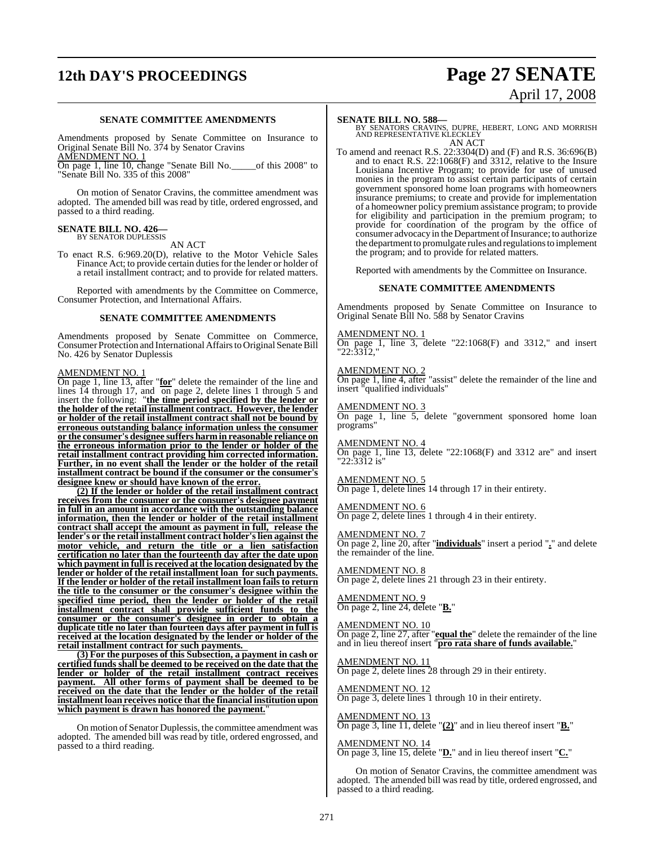## **12th DAY'S PROCEEDINGS Page 27 SENATE**

### **SENATE COMMITTEE AMENDMENTS**

Amendments proposed by Senate Committee on Insurance to Original Senate Bill No. 374 by Senator Cravins AMENDMENT NO. 1

On page 1, line 10, change "Senate Bill No.\_\_\_\_\_of this 2008" to "Senate Bill No. 335 of this 2008"

On motion of Senator Cravins, the committee amendment was adopted. The amended bill was read by title, ordered engrossed, and passed to a third reading.

## **SENATE BILL NO. 426—** BY SENATOR DUPLESSIS

AN ACT

To enact R.S. 6:969.20(D), relative to the Motor Vehicle Sales Finance Act; to provide certain duties for the lender or holder of a retail installment contract; and to provide for related matters.

Reported with amendments by the Committee on Commerce, Consumer Protection, and International Affairs.

#### **SENATE COMMITTEE AMENDMENTS**

Amendments proposed by Senate Committee on Commerce, Consumer Protection and International Affairs to Original Senate Bill No. 426 by Senator Duplessis

### AMENDMENT NO. 1

On page 1, line 13, after "**for**" delete the remainder of the line and lines  $14$  through 17, and  $\overline{on}$  page 2, delete lines 1 through 5 and insert the following: "**the time period specified by the lender or the holder of the retail installment contract. However, the lender or holder of the retail installment contract shall not be bound by erroneous outstanding balance information unless the consumer or the consumer's designee suffers harm in reasonable reliance on the erroneous information prior to the lender or holder of the retail installment contract providing him corrected information. Further, in no event shall the lender or the holder of the retail installment contract be bound if the consumer or the consumer's designee knew or should have known of the error.**

**(2) If the lender or holder of the retail installment contract receives from the consumer or the consumer's designee payment in full in an amount in accordance with the outstanding balance information, then the lender or holder of the retail installment contract shall accept the amount as payment in full, release the lender's or the retail installment contract holder'slien against the motor vehicle, and return the title or a lien satisfaction certification no later than the fourteenth day after the date upon which payment in full is received at the location designated by the lender or holder of the retail installment loan for such payments. If the lender or holder of the retail installment loan fails to return the title to the consumer or the consumer's designee within the specified time period, then the lender or holder of the retail installment contract shall provide sufficient funds to the consumer or the consumer's designee in order to obtain a duplicate title no later than fourteen days after payment in full is received at the location designated by the lender or holder of the retail installment contract for such payments.** 

**(3) For the purposes of this Subsection, a payment in cash or certified funds shall be deemed to be received on the date that the lender or holder of the retail installment contract receives payment. All other forms of payment shall be deemed to be received on the date that the lender or the holder of the retail installment loan receives notice that the financial institution upon which payment is drawn has honored the payment.**"

On motion of Senator Duplessis, the committee amendment was adopted. The amended bill was read by title, ordered engrossed, and passed to a third reading.

# April 17, 2008

**SENATE BILL NO. 588—**<br>BY SENATORS CRAVINS, DUPRE, HEBERT, LONG AND MORRISH<br>AND REPRESENTATIVE KLECKLEY AN ACT

To amend and reenact R.S. 22:3304(D) and (F) and R.S. 36:696(B) and to enact R.S. 22:1068(F) and 3312, relative to the Insure Louisiana Incentive Program; to provide for use of unused monies in the program to assist certain participants of certain government sponsored home loan programs with homeowners insurance premiums; to create and provide for implementation of a homeowner policy premium assistance program; to provide for eligibility and participation in the premium program; to provide for coordination of the program by the office of consumer advocacy in the Department of Insurance; to authorize the department to promulgate rules and regulations to implement the program; and to provide for related matters.

Reported with amendments by the Committee on Insurance.

#### **SENATE COMMITTEE AMENDMENTS**

Amendments proposed by Senate Committee on Insurance to Original Senate Bill No. 588 by Senator Cravins

#### AMENDMENT NO. 1

On page 1, line 3, delete "22:1068(F) and 3312," and insert "22:3312,"

#### AMENDMENT NO. 2

On page 1, line 4, after "assist" delete the remainder of the line and insert "qualified individuals"

### AMENDMENT NO. 3

On page 1, line 5, delete "government sponsored home loan programs"

AMENDMENT NO. 4

On page 1, line 13, delete "22:1068(F) and 3312 are" and insert "22:3312 is"

#### AMENDMENT NO. 5 On page 1, delete lines 14 through 17 in their entirety.

AMENDMENT NO. 6 On page 2, delete lines 1 through 4 in their entirety.

#### AMENDMENT NO. 7

On page 2, line 20, after "**individuals**" insert a period "**.**" and delete the remainder of the line.

## AMENDMENT NO. 8

On page 2, delete lines 21 through 23 in their entirety.

## AMENDMENT NO. 9

On page 2, line 24, delete "**B.**"

#### AMENDMENT NO. 10

On page 2, line 27, after "**equal the**" delete the remainder of the line and in lieu thereof insert "**pro rata share of funds available.**"

### AMENDMENT NO. 11

On page 2, delete lines 28 through 29 in their entirety.

## AMENDMENT NO. 12

On page 3, delete lines 1 through 10 in their entirety.

AMENDMENT NO. 13 On page 3, line 11, delete "**(2)**" and in lieu thereof insert "**B.**"

## AMENDMENT NO. 14

On page 3, line 15, delete "**D.**" and in lieu thereof insert "**C.**"

On motion of Senator Cravins, the committee amendment was adopted. The amended bill was read by title, ordered engrossed, and passed to a third reading.